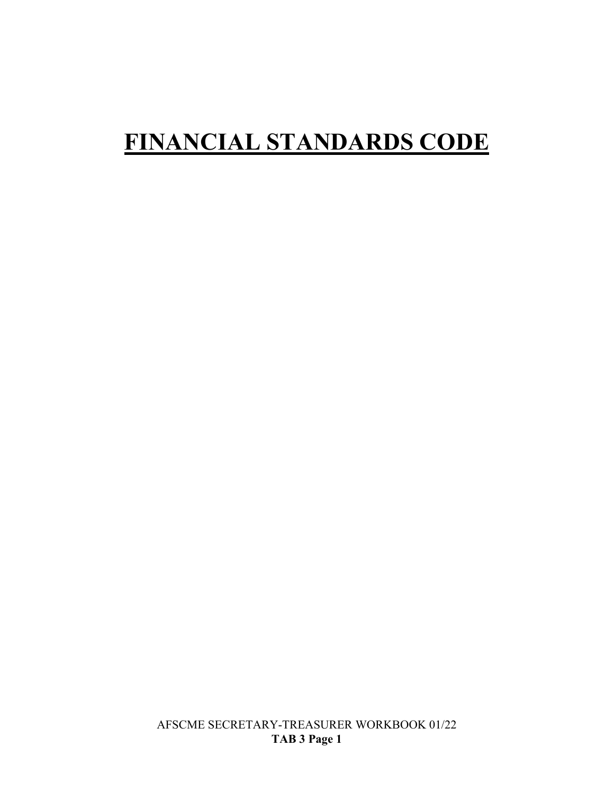# **FINANCIAL STANDARDS CODE**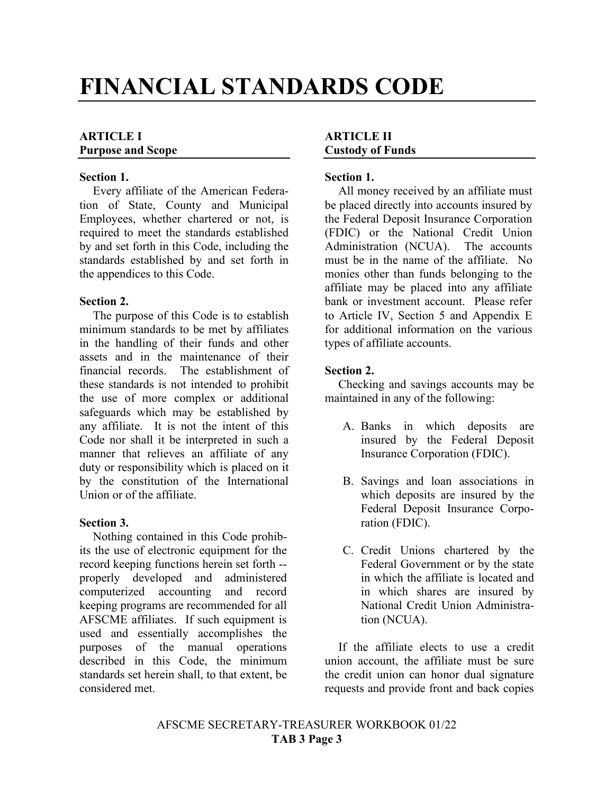# **FINANCIAL STANDARDS CODE**

#### **ARTICLE I Purpose and Scope**

#### **Section 1.**

Every affiliate of the American Federation of State, County and Municipal Employees, whether chartered or not, is required to meet the standards established by and set forth in this Code, including the standards established by and set forth in the appendices to this Code.

#### **Section 2.**

The purpose of this Code is to establish minimum standards to be met by affiliates in the handling of their funds and other assets and in the maintenance of their financial records. The establishment of these standards is not intended to prohibit the use of more complex or additional safeguards which may be established by any affiliate. It is not the intent of this Code nor shall it be interpreted in such a manner that relieves an affiliate of any duty or responsibility which is placed on it by the constitution of the International Union or of the affiliate.

#### **Section 3.**

Nothing contained in this Code prohibits the use of electronic equipment for the record keeping functions herein set forth - properly developed and administered computerized accounting and record keeping programs are recommended for all AFSCME affiliates. If such equipment is used and essentially accomplishes the purposes of the manual operations described in this Code, the minimum standards set herein shall, to that extent, be considered met.

#### **ARTICLE II Custody of Funds**

#### **Section 1.**

All money received by an affiliate must be placed directly into accounts insured by the Federal Deposit Insurance Corporation (FDIC) or the National Credit Union Administration (NCUA). The accounts must be in the name of the affiliate. No monies other than funds belonging to the affiliate may be placed into any affiliate bank or investment account. Please refer to Article IV, Section 5 and Appendix E for additional information on the various types of affiliate accounts.

#### **Section 2.**

Checking and savings accounts may be maintained in any of the following:

- A. Banks in which deposits are insured by the Federal Deposit Insurance Corporation (FDIC).
- B. Savings and loan associations in which deposits are insured by the Federal Deposit Insurance Corporation (FDIC).
- C. Credit Unions chartered by the Federal Government or by the state in which the affiliate is located and in which shares are insured by National Credit Union Administration (NCUA).

If the affiliate elects to use a credit union account, the affiliate must be sure the credit union can honor dual signature requests and provide front and back copies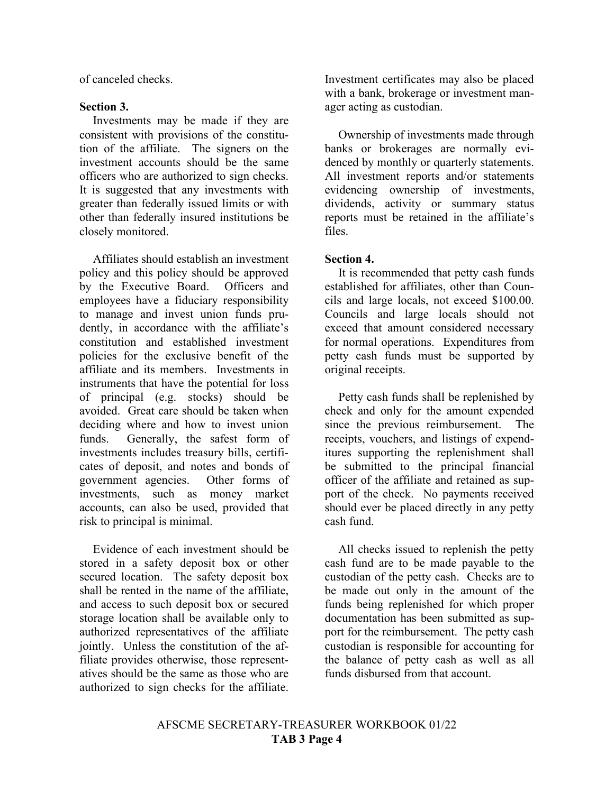of canceled checks.

#### **Section 3.**

Investments may be made if they are consistent with provisions of the constitution of the affiliate. The signers on the investment accounts should be the same officers who are authorized to sign checks. It is suggested that any investments with greater than federally issued limits or with other than federally insured institutions be closely monitored.

Affiliates should establish an investment policy and this policy should be approved by the Executive Board. Officers and employees have a fiduciary responsibility to manage and invest union funds prudently, in accordance with the affiliate's constitution and established investment policies for the exclusive benefit of the affiliate and its members. Investments in instruments that have the potential for loss of principal (e.g. stocks) should be avoided. Great care should be taken when deciding where and how to invest union funds. Generally, the safest form of investments includes treasury bills, certificates of deposit, and notes and bonds of government agencies. Other forms of investments, such as money market accounts, can also be used, provided that risk to principal is minimal.

Evidence of each investment should be stored in a safety deposit box or other secured location. The safety deposit box shall be rented in the name of the affiliate, and access to such deposit box or secured storage location shall be available only to authorized representatives of the affiliate jointly. Unless the constitution of the affiliate provides otherwise, those representatives should be the same as those who are authorized to sign checks for the affiliate. Investment certificates may also be placed with a bank, brokerage or investment manager acting as custodian.

Ownership of investments made through banks or brokerages are normally evidenced by monthly or quarterly statements. All investment reports and/or statements evidencing ownership of investments, dividends, activity or summary status reports must be retained in the affiliate's files.

#### **Section 4.**

It is recommended that petty cash funds established for affiliates, other than Councils and large locals, not exceed \$100.00. Councils and large locals should not exceed that amount considered necessary for normal operations. Expenditures from petty cash funds must be supported by original receipts.

Petty cash funds shall be replenished by check and only for the amount expended since the previous reimbursement. The receipts, vouchers, and listings of expenditures supporting the replenishment shall be submitted to the principal financial officer of the affiliate and retained as support of the check. No payments received should ever be placed directly in any petty cash fund.

All checks issued to replenish the petty cash fund are to be made payable to the custodian of the petty cash. Checks are to be made out only in the amount of the funds being replenished for which proper documentation has been submitted as support for the reimbursement. The petty cash custodian is responsible for accounting for the balance of petty cash as well as all funds disbursed from that account.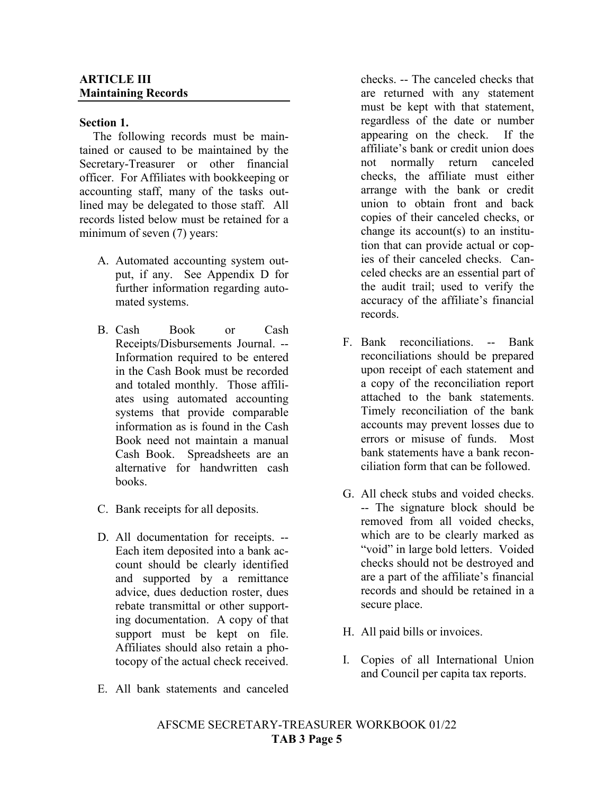#### **ARTICLE III Maintaining Records**

#### **Section 1.**

The following records must be maintained or caused to be maintained by the Secretary-Treasurer or other financial officer. For Affiliates with bookkeeping or accounting staff, many of the tasks outlined may be delegated to those staff. All records listed below must be retained for a minimum of seven (7) years:

- A. Automated accounting system output, if any. See Appendix D for further information regarding automated systems.
- B. Cash Book or Cash Receipts/Disbursements Journal. -- Information required to be entered in the Cash Book must be recorded and totaled monthly. Those affiliates using automated accounting systems that provide comparable information as is found in the Cash Book need not maintain a manual Cash Book. Spreadsheets are an alternative for handwritten cash books.
- C. Bank receipts for all deposits.
- D. All documentation for receipts. -- Each item deposited into a bank account should be clearly identified and supported by a remittance advice, dues deduction roster, dues rebate transmittal or other supporting documentation. A copy of that support must be kept on file. Affiliates should also retain a photocopy of the actual check received.
- E. All bank statements and canceled

checks. -- The canceled checks that are returned with any statement must be kept with that statement, regardless of the date or number appearing on the check. If the affiliate's bank or credit union does not normally return canceled checks, the affiliate must either arrange with the bank or credit union to obtain front and back copies of their canceled checks, or change its account(s) to an institution that can provide actual or copies of their canceled checks. Canceled checks are an essential part of the audit trail; used to verify the accuracy of the affiliate's financial records.

- F. Bank reconciliations. -- Bank reconciliations should be prepared upon receipt of each statement and a copy of the reconciliation report attached to the bank statements. Timely reconciliation of the bank accounts may prevent losses due to errors or misuse of funds. Most bank statements have a bank reconciliation form that can be followed.
- G. All check stubs and voided checks. -- The signature block should be removed from all voided checks, which are to be clearly marked as "void" in large bold letters. Voided checks should not be destroyed and are a part of the affiliate's financial records and should be retained in a secure place.
- H. All paid bills or invoices.
- I. Copies of all International Union and Council per capita tax reports.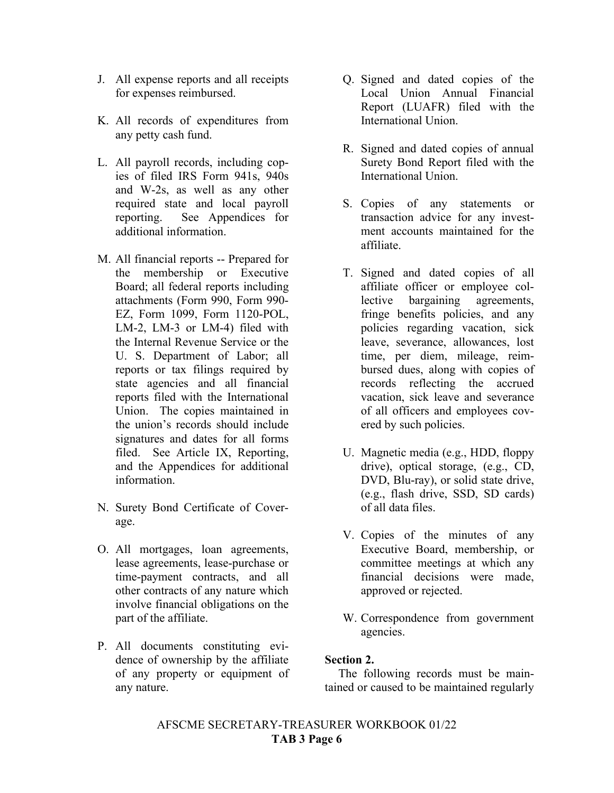- J. All expense reports and all receipts for expenses reimbursed.
- K. All records of expenditures from any petty cash fund.
- L. All payroll records, including copies of filed IRS Form 941s, 940s and W-2s, as well as any other required state and local payroll reporting. See Appendices for additional information.
- M. All financial reports -- Prepared for the membership or Executive Board; all federal reports including attachments (Form 990, Form 990- EZ, Form 1099, Form 1120-POL, LM-2, LM-3 or LM-4) filed with the Internal Revenue Service or the U. S. Department of Labor; all reports or tax filings required by state agencies and all financial reports filed with the International Union. The copies maintained in the union's records should include signatures and dates for all forms filed. See Article IX, Reporting, and the Appendices for additional information.
- N. Surety Bond Certificate of Coverage.
- O. All mortgages, loan agreements, lease agreements, lease-purchase or time-payment contracts, and all other contracts of any nature which involve financial obligations on the part of the affiliate.
- P. All documents constituting evidence of ownership by the affiliate of any property or equipment of any nature.
- Q. Signed and dated copies of the Local Union Annual Financial Report (LUAFR) filed with the International Union.
- R. Signed and dated copies of annual Surety Bond Report filed with the International Union.
- S. Copies of any statements or transaction advice for any investment accounts maintained for the affiliate.
- T. Signed and dated copies of all affiliate officer or employee collective bargaining agreements, fringe benefits policies, and any policies regarding vacation, sick leave, severance, allowances, lost time, per diem, mileage, reimbursed dues, along with copies of records reflecting the accrued vacation, sick leave and severance of all officers and employees covered by such policies.
- U. Magnetic media (e.g., HDD, floppy drive), optical storage, (e.g., CD, DVD, Blu-ray), or solid state drive, (e.g., flash drive, SSD, SD cards) of all data files.
- V. Copies of the minutes of any Executive Board, membership, or committee meetings at which any financial decisions were made, approved or rejected.
- W. Correspondence from government agencies.

#### **Section 2.**

The following records must be maintained or caused to be maintained regularly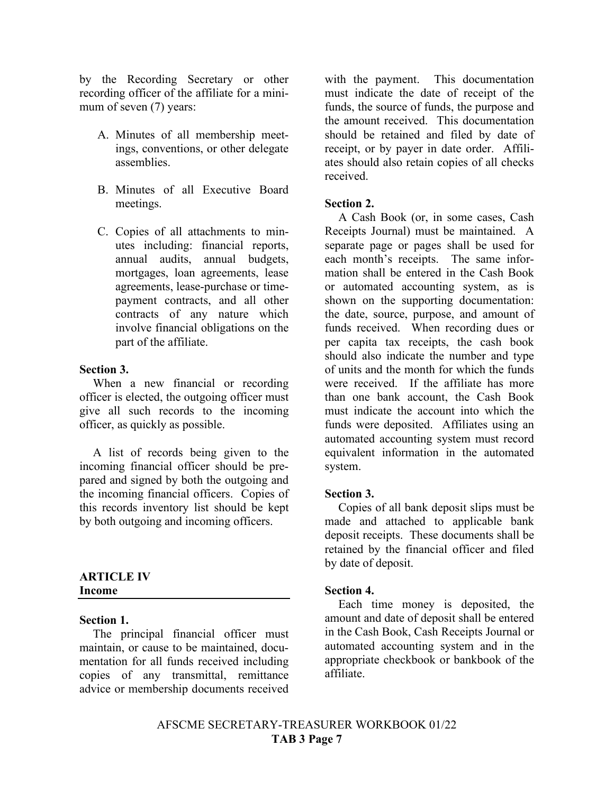by the Recording Secretary or other recording officer of the affiliate for a minimum of seven (7) years:

- A. Minutes of all membership meetings, conventions, or other delegate assemblies.
- B. Minutes of all Executive Board meetings.
- C. Copies of all attachments to minutes including: financial reports, annual audits, annual budgets, mortgages, loan agreements, lease agreements, lease-purchase or timepayment contracts, and all other contracts of any nature which involve financial obligations on the part of the affiliate.

#### **Section 3.**

When a new financial or recording officer is elected, the outgoing officer must give all such records to the incoming officer, as quickly as possible.

A list of records being given to the incoming financial officer should be prepared and signed by both the outgoing and the incoming financial officers. Copies of this records inventory list should be kept by both outgoing and incoming officers.

#### **ARTICLE IV Income**

#### **Section 1.**

The principal financial officer must maintain, or cause to be maintained, documentation for all funds received including copies of any transmittal, remittance advice or membership documents received with the payment. This documentation must indicate the date of receipt of the funds, the source of funds, the purpose and the amount received. This documentation should be retained and filed by date of receipt, or by payer in date order. Affiliates should also retain copies of all checks received.

#### **Section 2.**

A Cash Book (or, in some cases, Cash Receipts Journal) must be maintained. A separate page or pages shall be used for each month's receipts. The same information shall be entered in the Cash Book or automated accounting system, as is shown on the supporting documentation: the date, source, purpose, and amount of funds received. When recording dues or per capita tax receipts, the cash book should also indicate the number and type of units and the month for which the funds were received. If the affiliate has more than one bank account, the Cash Book must indicate the account into which the funds were deposited. Affiliates using an automated accounting system must record equivalent information in the automated system.

#### **Section 3.**

Copies of all bank deposit slips must be made and attached to applicable bank deposit receipts. These documents shall be retained by the financial officer and filed by date of deposit.

#### **Section 4.**

Each time money is deposited, the amount and date of deposit shall be entered in the Cash Book, Cash Receipts Journal or automated accounting system and in the appropriate checkbook or bankbook of the affiliate.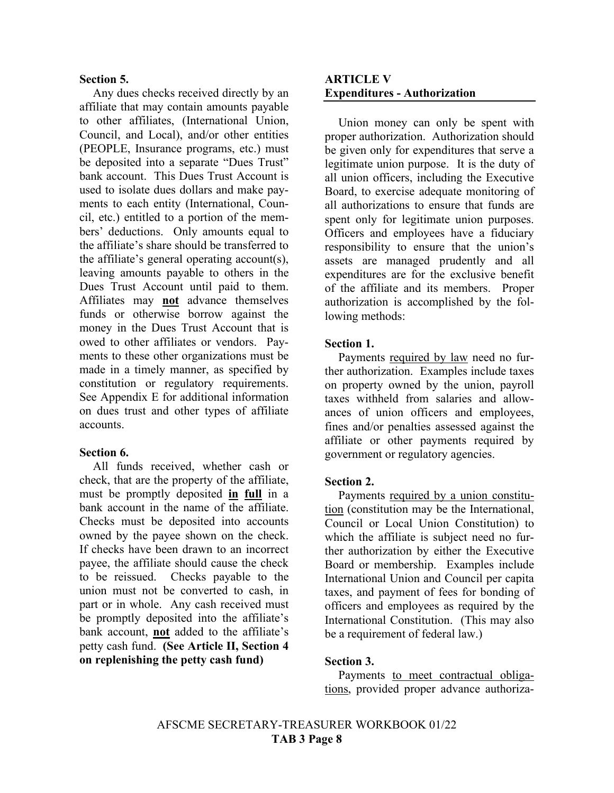#### **Section 5.**

Any dues checks received directly by an affiliate that may contain amounts payable to other affiliates, (International Union, Council, and Local), and/or other entities (PEOPLE, Insurance programs, etc.) must be deposited into a separate "Dues Trust" bank account. This Dues Trust Account is used to isolate dues dollars and make payments to each entity (International, Council, etc.) entitled to a portion of the members' deductions. Only amounts equal to the affiliate's share should be transferred to the affiliate's general operating account(s), leaving amounts payable to others in the Dues Trust Account until paid to them. Affiliates may **not** advance themselves funds or otherwise borrow against the money in the Dues Trust Account that is owed to other affiliates or vendors. Payments to these other organizations must be made in a timely manner, as specified by constitution or regulatory requirements. See Appendix E for additional information on dues trust and other types of affiliate accounts.

#### **Section 6.**

All funds received, whether cash or check, that are the property of the affiliate, must be promptly deposited **in full** in a bank account in the name of the affiliate. Checks must be deposited into accounts owned by the payee shown on the check. If checks have been drawn to an incorrect payee, the affiliate should cause the check to be reissued. Checks payable to the union must not be converted to cash, in part or in whole. Any cash received must be promptly deposited into the affiliate's bank account, **not** added to the affiliate's petty cash fund. **(See Article II, Section 4 on replenishing the petty cash fund)**

#### **ARTICLE V Expenditures - Authorization**

Union money can only be spent with proper authorization. Authorization should be given only for expenditures that serve a legitimate union purpose. It is the duty of all union officers, including the Executive Board, to exercise adequate monitoring of all authorizations to ensure that funds are spent only for legitimate union purposes. Officers and employees have a fiduciary responsibility to ensure that the union's assets are managed prudently and all expenditures are for the exclusive benefit of the affiliate and its members. Proper authorization is accomplished by the following methods:

#### **Section 1.**

Payments required by law need no further authorization. Examples include taxes on property owned by the union, payroll taxes withheld from salaries and allowances of union officers and employees, fines and/or penalties assessed against the affiliate or other payments required by government or regulatory agencies.

#### **Section 2.**

Payments required by a union constitution (constitution may be the International, Council or Local Union Constitution) to which the affiliate is subject need no further authorization by either the Executive Board or membership. Examples include International Union and Council per capita taxes, and payment of fees for bonding of officers and employees as required by the International Constitution. (This may also be a requirement of federal law.)

#### **Section 3.**

Payments to meet contractual obligations, provided proper advance authoriza-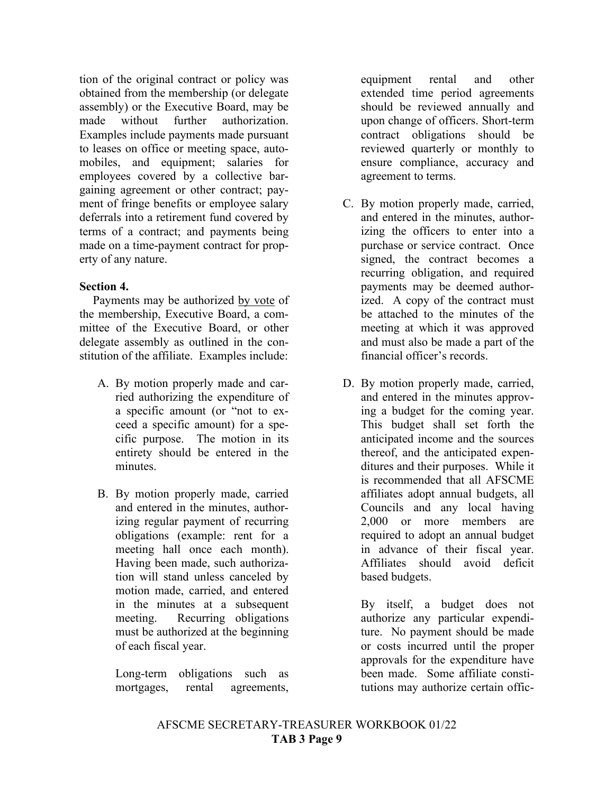tion of the original contract or policy was obtained from the membership (or delegate assembly) or the Executive Board, may be made without further authorization. Examples include payments made pursuant to leases on office or meeting space, automobiles, and equipment; salaries for employees covered by a collective bargaining agreement or other contract; payment of fringe benefits or employee salary deferrals into a retirement fund covered by terms of a contract; and payments being made on a time-payment contract for property of any nature.

#### **Section 4.**

Payments may be authorized by vote of the membership, Executive Board, a committee of the Executive Board, or other delegate assembly as outlined in the constitution of the affiliate. Examples include:

- A. By motion properly made and carried authorizing the expenditure of a specific amount (or "not to exceed a specific amount) for a specific purpose. The motion in its entirety should be entered in the minutes.
- B. By motion properly made, carried and entered in the minutes, authorizing regular payment of recurring obligations (example: rent for a meeting hall once each month). Having been made, such authorization will stand unless canceled by motion made, carried, and entered in the minutes at a subsequent meeting. Recurring obligations must be authorized at the beginning of each fiscal year.

Long-term obligations such as mortgages, rental agreements, equipment rental and other extended time period agreements should be reviewed annually and upon change of officers. Short-term contract obligations should be reviewed quarterly or monthly to ensure compliance, accuracy and agreement to terms.

- C. By motion properly made, carried, and entered in the minutes, authorizing the officers to enter into a purchase or service contract. Once signed, the contract becomes a recurring obligation, and required payments may be deemed authorized. A copy of the contract must be attached to the minutes of the meeting at which it was approved and must also be made a part of the financial officer's records.
- D. By motion properly made, carried, and entered in the minutes approving a budget for the coming year. This budget shall set forth the anticipated income and the sources thereof, and the anticipated expenditures and their purposes. While it is recommended that all AFSCME affiliates adopt annual budgets, all Councils and any local having 2,000 or more members are required to adopt an annual budget in advance of their fiscal year. Affiliates should avoid deficit based budgets.

By itself, a budget does not authorize any particular expenditure. No payment should be made or costs incurred until the proper approvals for the expenditure have been made. Some affiliate constitutions may authorize certain offic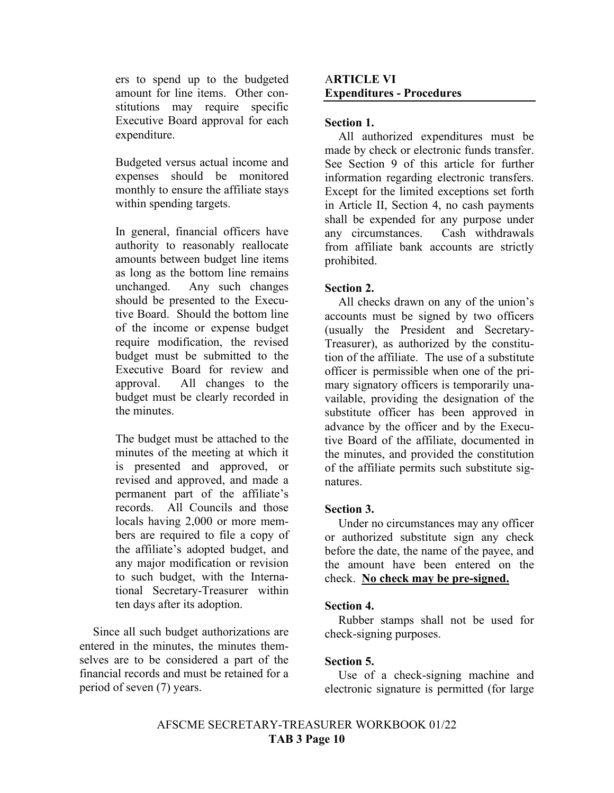ers to spend up to the budgeted amount for line items. Other constitutions may require specific Executive Board approval for each expenditure.

Budgeted versus actual income and expenses should be monitored monthly to ensure the affiliate stays within spending targets.

In general, financial officers have authority to reasonably reallocate amounts between budget line items as long as the bottom line remains unchanged. Any such changes should be presented to the Executive Board. Should the bottom line of the income or expense budget require modification, the revised budget must be submitted to the Executive Board for review and approval. All changes to the budget must be clearly recorded in the minutes.

The budget must be attached to the minutes of the meeting at which it is presented and approved, or revised and approved, and made a permanent part of the affiliate's records. All Councils and those locals having 2,000 or more members are required to file a copy of the affiliate's adopted budget, and any major modification or revision to such budget, with the International Secretary-Treasurer within ten days after its adoption.

Since all such budget authorizations are entered in the minutes, the minutes themselves are to be considered a part of the financial records and must be retained for a period of seven (7) years.

#### A**RTICLE VI Expenditures - Procedures**

#### **Section 1.**

All authorized expenditures must be made by check or electronic funds transfer. See Section 9 of this article for further information regarding electronic transfers. Except for the limited exceptions set forth in Article II, Section 4, no cash payments shall be expended for any purpose under any circumstances. Cash withdrawals from affiliate bank accounts are strictly prohibited.

#### **Section 2.**

All checks drawn on any of the union's accounts must be signed by two officers (usually the President and Secretary-Treasurer), as authorized by the constitution of the affiliate. The use of a substitute officer is permissible when one of the primary signatory officers is temporarily unavailable, providing the designation of the substitute officer has been approved in advance by the officer and by the Executive Board of the affiliate, documented in the minutes, and provided the constitution of the affiliate permits such substitute signatures.

#### **Section 3.**

Under no circumstances may any officer or authorized substitute sign any check before the date, the name of the payee, and the amount have been entered on the check. **No check may be pre-signed.**

#### **Section 4.**

Rubber stamps shall not be used for check-signing purposes.

#### **Section 5.**

Use of a check-signing machine and electronic signature is permitted (for large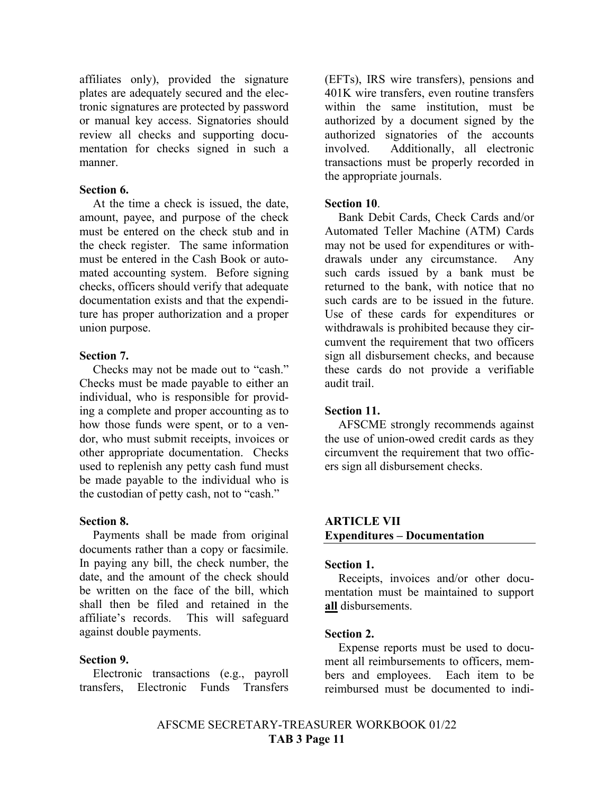affiliates only), provided the signature plates are adequately secured and the electronic signatures are protected by password or manual key access. Signatories should review all checks and supporting documentation for checks signed in such a manner.

#### **Section 6.**

At the time a check is issued, the date, amount, payee, and purpose of the check must be entered on the check stub and in the check register. The same information must be entered in the Cash Book or automated accounting system. Before signing checks, officers should verify that adequate documentation exists and that the expenditure has proper authorization and a proper union purpose.

#### **Section 7.**

Checks may not be made out to "cash." Checks must be made payable to either an individual, who is responsible for providing a complete and proper accounting as to how those funds were spent, or to a vendor, who must submit receipts, invoices or other appropriate documentation. Checks used to replenish any petty cash fund must be made payable to the individual who is the custodian of petty cash, not to "cash."

#### **Section 8.**

Payments shall be made from original documents rather than a copy or facsimile. In paying any bill, the check number, the date, and the amount of the check should be written on the face of the bill, which shall then be filed and retained in the affiliate's records. This will safeguard against double payments.

#### **Section 9.**

Electronic transactions (e.g., payroll transfers, Electronic Funds Transfers

(EFTs), IRS wire transfers), pensions and 401K wire transfers, even routine transfers within the same institution, must be authorized by a document signed by the authorized signatories of the accounts involved. Additionally, all electronic transactions must be properly recorded in the appropriate journals.

#### **Section 10**.

Bank Debit Cards, Check Cards and/or Automated Teller Machine (ATM) Cards may not be used for expenditures or withdrawals under any circumstance. Any such cards issued by a bank must be returned to the bank, with notice that no such cards are to be issued in the future. Use of these cards for expenditures or withdrawals is prohibited because they circumvent the requirement that two officers sign all disbursement checks, and because these cards do not provide a verifiable audit trail.

#### **Section 11.**

AFSCME strongly recommends against the use of union-owed credit cards as they circumvent the requirement that two officers sign all disbursement checks.

#### **ARTICLE VII Expenditures – Documentation**

#### **Section 1.**

Receipts, invoices and/or other documentation must be maintained to support **all** disbursements.

#### **Section 2.**

Expense reports must be used to document all reimbursements to officers, members and employees. Each item to be reimbursed must be documented to indi-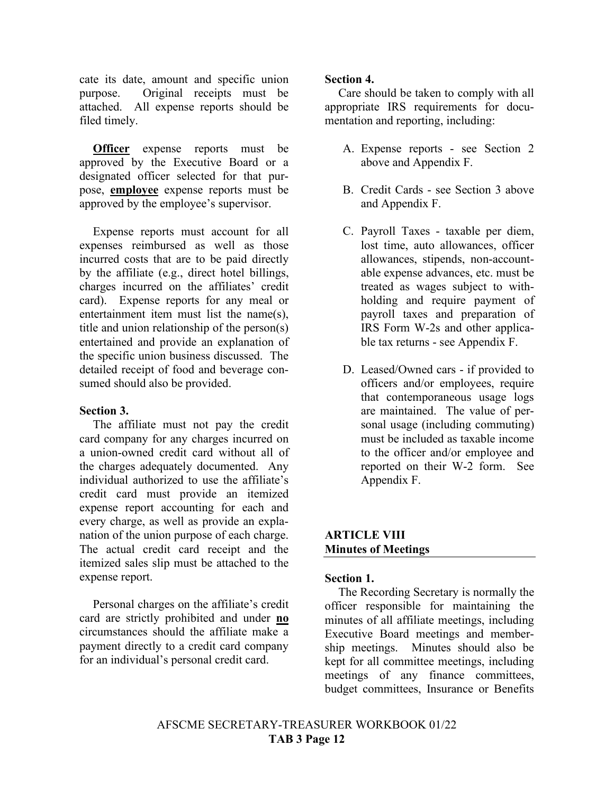cate its date, amount and specific union purpose. Original receipts must be attached. All expense reports should be filed timely.

**Officer** expense reports must be approved by the Executive Board or a designated officer selected for that purpose, **employee** expense reports must be approved by the employee's supervisor.

Expense reports must account for all expenses reimbursed as well as those incurred costs that are to be paid directly by the affiliate (e.g., direct hotel billings, charges incurred on the affiliates' credit card). Expense reports for any meal or entertainment item must list the name(s), title and union relationship of the person(s) entertained and provide an explanation of the specific union business discussed. The detailed receipt of food and beverage consumed should also be provided.

#### **Section 3.**

The affiliate must not pay the credit card company for any charges incurred on a union-owned credit card without all of the charges adequately documented. Any individual authorized to use the affiliate's credit card must provide an itemized expense report accounting for each and every charge, as well as provide an explanation of the union purpose of each charge. The actual credit card receipt and the itemized sales slip must be attached to the expense report.

Personal charges on the affiliate's credit card are strictly prohibited and under **no** circumstances should the affiliate make a payment directly to a credit card company for an individual's personal credit card.

#### **Section 4.**

Care should be taken to comply with all appropriate IRS requirements for documentation and reporting, including:

- A. Expense reports see Section 2 above and Appendix F.
- B. Credit Cards see Section 3 above and Appendix F.
- C. Payroll Taxes taxable per diem, lost time, auto allowances, officer allowances, stipends, non-accountable expense advances, etc. must be treated as wages subject to withholding and require payment of payroll taxes and preparation of IRS Form W-2s and other applicable tax returns - see Appendix F.
- D. Leased/Owned cars if provided to officers and/or employees, require that contemporaneous usage logs are maintained. The value of personal usage (including commuting) must be included as taxable income to the officer and/or employee and reported on their W-2 form. See Appendix F.

#### **ARTICLE VIII Minutes of Meetings**

#### **Section 1.**

The Recording Secretary is normally the officer responsible for maintaining the minutes of all affiliate meetings, including Executive Board meetings and membership meetings. Minutes should also be kept for all committee meetings, including meetings of any finance committees, budget committees, Insurance or Benefits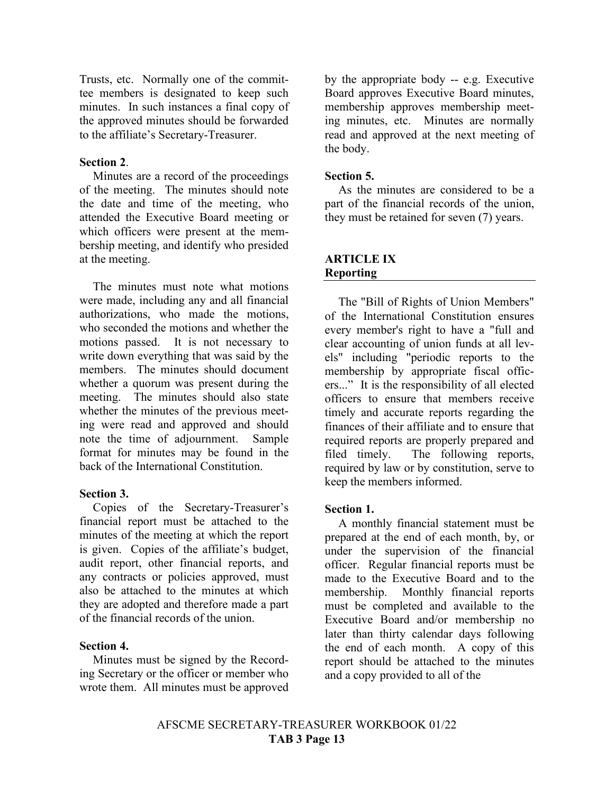Trusts, etc. Normally one of the committee members is designated to keep such minutes. In such instances a final copy of the approved minutes should be forwarded to the affiliate's Secretary-Treasurer.

#### **Section 2**.

Minutes are a record of the proceedings of the meeting. The minutes should note the date and time of the meeting, who attended the Executive Board meeting or which officers were present at the membership meeting, and identify who presided at the meeting.

The minutes must note what motions were made, including any and all financial authorizations, who made the motions, who seconded the motions and whether the motions passed. It is not necessary to write down everything that was said by the members. The minutes should document whether a quorum was present during the meeting. The minutes should also state whether the minutes of the previous meeting were read and approved and should note the time of adjournment. Sample format for minutes may be found in the back of the International Constitution.

#### **Section 3.**

Copies of the Secretary-Treasurer's financial report must be attached to the minutes of the meeting at which the report is given. Copies of the affiliate's budget, audit report, other financial reports, and any contracts or policies approved, must also be attached to the minutes at which they are adopted and therefore made a part of the financial records of the union.

#### **Section 4.**

Minutes must be signed by the Recording Secretary or the officer or member who wrote them. All minutes must be approved by the appropriate body -- e.g. Executive Board approves Executive Board minutes, membership approves membership meeting minutes, etc. Minutes are normally read and approved at the next meeting of the body.

#### **Section 5.**

As the minutes are considered to be a part of the financial records of the union, they must be retained for seven (7) years.

#### **ARTICLE IX Reporting**

The "Bill of Rights of Union Members" of the International Constitution ensures every member's right to have a "full and clear accounting of union funds at all levels" including "periodic reports to the membership by appropriate fiscal officers..." It is the responsibility of all elected officers to ensure that members receive timely and accurate reports regarding the finances of their affiliate and to ensure that required reports are properly prepared and filed timely. The following reports, required by law or by constitution, serve to keep the members informed.

#### **Section 1.**

A monthly financial statement must be prepared at the end of each month, by, or under the supervision of the financial officer. Regular financial reports must be made to the Executive Board and to the membership. Monthly financial reports must be completed and available to the Executive Board and/or membership no later than thirty calendar days following the end of each month. A copy of this report should be attached to the minutes and a copy provided to all of the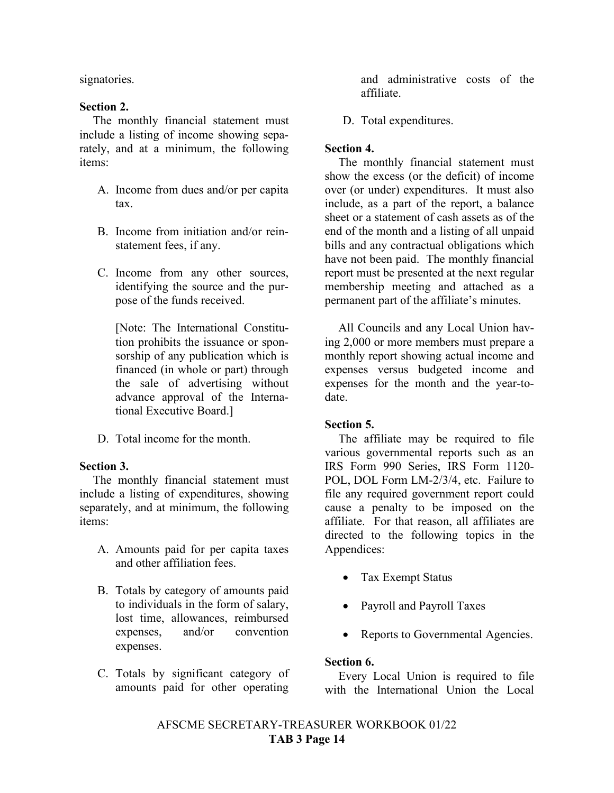signatories.

#### **Section 2.**

The monthly financial statement must include a listing of income showing separately, and at a minimum, the following items:

- A. Income from dues and/or per capita tax.
- B. Income from initiation and/or reinstatement fees, if any.
- C. Income from any other sources, identifying the source and the purpose of the funds received.

[Note: The International Constitution prohibits the issuance or sponsorship of any publication which is financed (in whole or part) through the sale of advertising without advance approval of the International Executive Board.]

D. Total income for the month.

#### **Section 3.**

The monthly financial statement must include a listing of expenditures, showing separately, and at minimum, the following items:

- A. Amounts paid for per capita taxes and other affiliation fees.
- B. Totals by category of amounts paid to individuals in the form of salary, lost time, allowances, reimbursed expenses, and/or convention expenses.
- C. Totals by significant category of amounts paid for other operating

and administrative costs of the affiliate.

D. Total expenditures.

#### **Section 4.**

The monthly financial statement must show the excess (or the deficit) of income over (or under) expenditures. It must also include, as a part of the report, a balance sheet or a statement of cash assets as of the end of the month and a listing of all unpaid bills and any contractual obligations which have not been paid. The monthly financial report must be presented at the next regular membership meeting and attached as a permanent part of the affiliate's minutes.

All Councils and any Local Union having 2,000 or more members must prepare a monthly report showing actual income and expenses versus budgeted income and expenses for the month and the year-todate.

#### **Section 5.**

The affiliate may be required to file various governmental reports such as an IRS Form 990 Series, IRS Form 1120- POL, DOL Form LM-2/3/4, etc. Failure to file any required government report could cause a penalty to be imposed on the affiliate. For that reason, all affiliates are directed to the following topics in the Appendices:

- Tax Exempt Status
- Payroll and Payroll Taxes
- Reports to Governmental Agencies.

#### **Section 6.**

Every Local Union is required to file with the International Union the Local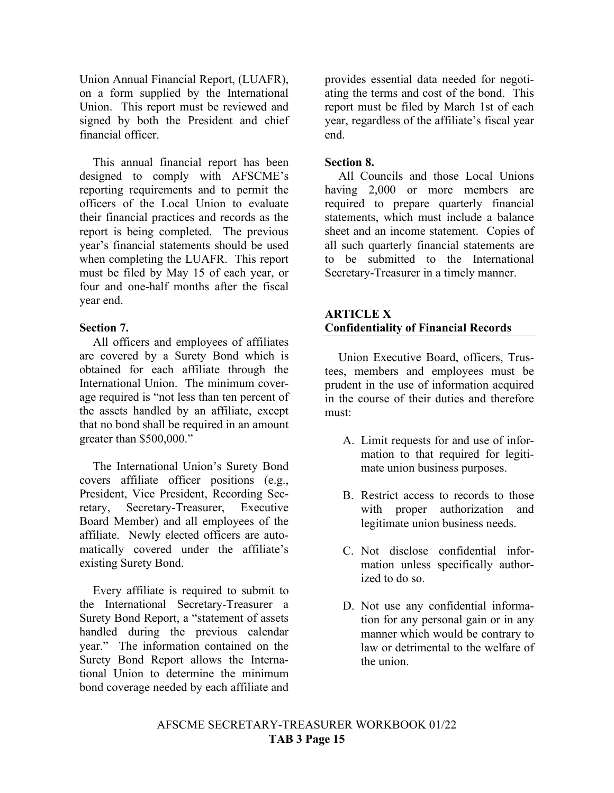Union Annual Financial Report, (LUAFR), on a form supplied by the International Union. This report must be reviewed and signed by both the President and chief financial officer.

This annual financial report has been designed to comply with AFSCME's reporting requirements and to permit the officers of the Local Union to evaluate their financial practices and records as the report is being completed. The previous year's financial statements should be used when completing the LUAFR. This report must be filed by May 15 of each year, or four and one-half months after the fiscal year end.

#### **Section 7.**

All officers and employees of affiliates are covered by a Surety Bond which is obtained for each affiliate through the International Union. The minimum coverage required is "not less than ten percent of the assets handled by an affiliate, except that no bond shall be required in an amount greater than \$500,000."

The International Union's Surety Bond covers affiliate officer positions (e.g., President, Vice President, Recording Secretary, Secretary-Treasurer, Executive Board Member) and all employees of the affiliate. Newly elected officers are automatically covered under the affiliate's existing Surety Bond.

Every affiliate is required to submit to the International Secretary-Treasurer a Surety Bond Report, a "statement of assets handled during the previous calendar year." The information contained on the Surety Bond Report allows the International Union to determine the minimum bond coverage needed by each affiliate and provides essential data needed for negotiating the terms and cost of the bond. This report must be filed by March 1st of each year, regardless of the affiliate's fiscal year end.

#### **Section 8.**

All Councils and those Local Unions having 2,000 or more members are required to prepare quarterly financial statements, which must include a balance sheet and an income statement. Copies of all such quarterly financial statements are to be submitted to the International Secretary-Treasurer in a timely manner.

#### **ARTICLE X Confidentiality of Financial Records**

Union Executive Board, officers, Trustees, members and employees must be prudent in the use of information acquired in the course of their duties and therefore must:

- A. Limit requests for and use of information to that required for legitimate union business purposes.
- B. Restrict access to records to those with proper authorization and legitimate union business needs.
- C. Not disclose confidential information unless specifically authorized to do so.
- D. Not use any confidential information for any personal gain or in any manner which would be contrary to law or detrimental to the welfare of the union.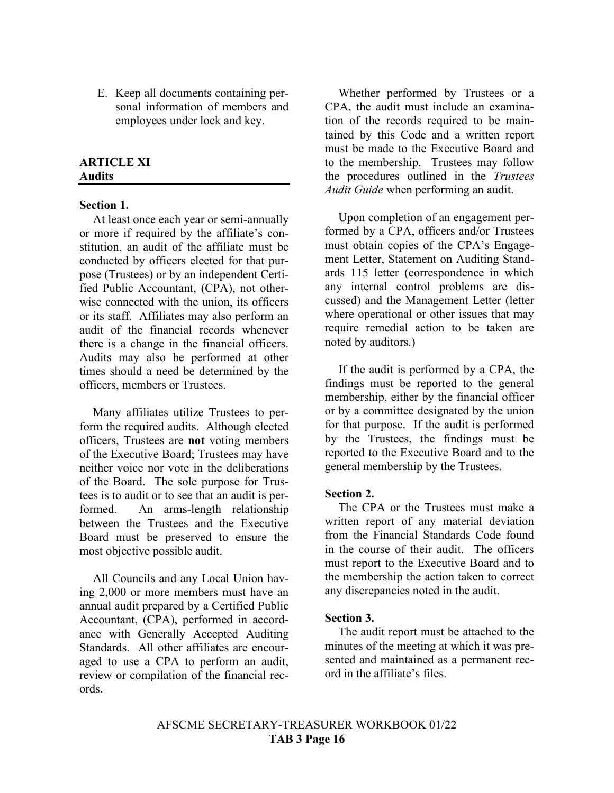E. Keep all documents containing personal information of members and employees under lock and key.

#### **ARTICLE XI Audits**

#### **Section 1.**

At least once each year or semi-annually or more if required by the affiliate's constitution, an audit of the affiliate must be conducted by officers elected for that purpose (Trustees) or by an independent Certified Public Accountant, (CPA), not otherwise connected with the union, its officers or its staff. Affiliates may also perform an audit of the financial records whenever there is a change in the financial officers. Audits may also be performed at other times should a need be determined by the officers, members or Trustees.

Many affiliates utilize Trustees to perform the required audits. Although elected officers, Trustees are **not** voting members of the Executive Board; Trustees may have neither voice nor vote in the deliberations of the Board. The sole purpose for Trustees is to audit or to see that an audit is performed. An arms-length relationship between the Trustees and the Executive Board must be preserved to ensure the most objective possible audit.

All Councils and any Local Union having 2,000 or more members must have an annual audit prepared by a Certified Public Accountant, (CPA), performed in accordance with Generally Accepted Auditing Standards. All other affiliates are encouraged to use a CPA to perform an audit, review or compilation of the financial records.

Whether performed by Trustees or a CPA, the audit must include an examination of the records required to be maintained by this Code and a written report must be made to the Executive Board and to the membership. Trustees may follow the procedures outlined in the *Trustees Audit Guide* when performing an audit.

Upon completion of an engagement performed by a CPA, officers and/or Trustees must obtain copies of the CPA's Engagement Letter, Statement on Auditing Standards 115 letter (correspondence in which any internal control problems are discussed) and the Management Letter (letter where operational or other issues that may require remedial action to be taken are noted by auditors.)

If the audit is performed by a CPA, the findings must be reported to the general membership, either by the financial officer or by a committee designated by the union for that purpose. If the audit is performed by the Trustees, the findings must be reported to the Executive Board and to the general membership by the Trustees.

#### **Section 2.**

The CPA or the Trustees must make a written report of any material deviation from the Financial Standards Code found in the course of their audit. The officers must report to the Executive Board and to the membership the action taken to correct any discrepancies noted in the audit.

#### **Section 3.**

The audit report must be attached to the minutes of the meeting at which it was presented and maintained as a permanent record in the affiliate's files.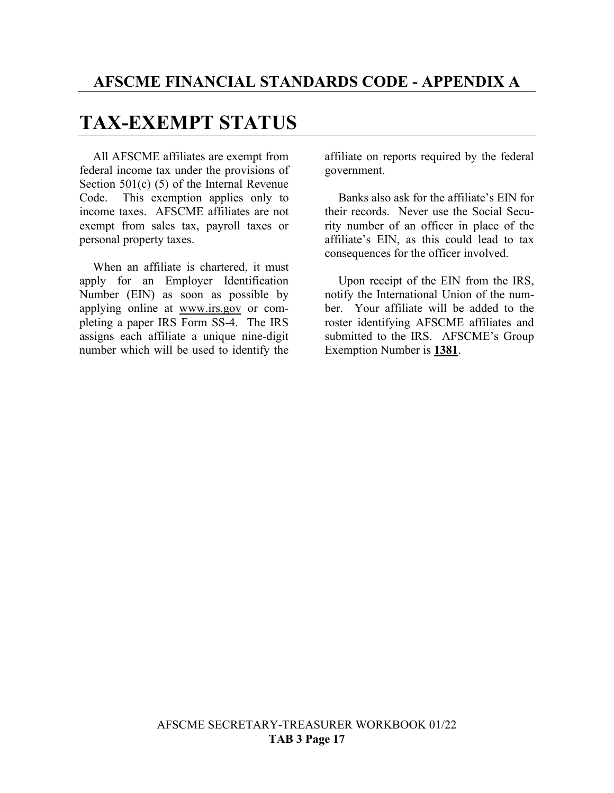## **TAX-EXEMPT STATUS**

All AFSCME affiliates are exempt from federal income tax under the provisions of Section 501(c) (5) of the Internal Revenue Code. This exemption applies only to income taxes. AFSCME affiliates are not exempt from sales tax, payroll taxes or personal property taxes.

When an affiliate is chartered, it must apply for an Employer Identification Number (EIN) as soon as possible by applying online at [www.irs.gov](http://www.irs.gov/) or completing a paper IRS Form SS-4. The IRS assigns each affiliate a unique nine-digit number which will be used to identify the

affiliate on reports required by the federal government.

Banks also ask for the affiliate's EIN for their records. Never use the Social Security number of an officer in place of the affiliate's EIN, as this could lead to tax consequences for the officer involved.

Upon receipt of the EIN from the IRS, notify the International Union of the number. Your affiliate will be added to the roster identifying AFSCME affiliates and submitted to the IRS. AFSCME's Group Exemption Number is **1381**.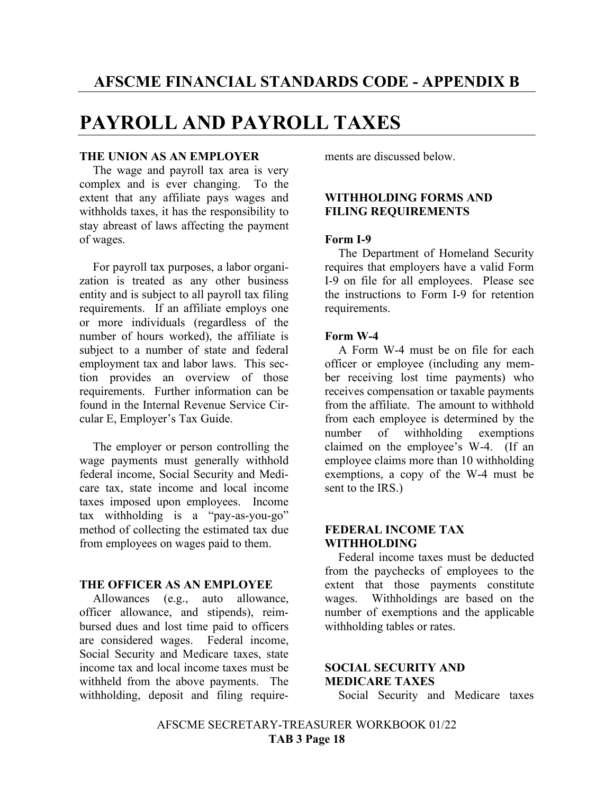## **PAYROLL AND PAYROLL TAXES**

#### **THE UNION AS AN EMPLOYER**

The wage and payroll tax area is very complex and is ever changing. To the extent that any affiliate pays wages and withholds taxes, it has the responsibility to stay abreast of laws affecting the payment of wages.

For payroll tax purposes, a labor organization is treated as any other business entity and is subject to all payroll tax filing requirements. If an affiliate employs one or more individuals (regardless of the number of hours worked), the affiliate is subject to a number of state and federal employment tax and labor laws. This section provides an overview of those requirements. Further information can be found in the Internal Revenue Service Circular E, Employer's Tax Guide.

The employer or person controlling the wage payments must generally withhold federal income, Social Security and Medicare tax, state income and local income taxes imposed upon employees. Income tax withholding is a "pay-as-you-go" method of collecting the estimated tax due from employees on wages paid to them.

#### **THE OFFICER AS AN EMPLOYEE**

Allowances (e.g., auto allowance, officer allowance, and stipends), reimbursed dues and lost time paid to officers are considered wages. Federal income, Social Security and Medicare taxes, state income tax and local income taxes must be withheld from the above payments. The withholding, deposit and filing requirements are discussed below.

#### **WITHHOLDING FORMS AND FILING REQUIREMENTS**

#### **Form I-9**

The Department of Homeland Security requires that employers have a valid Form I-9 on file for all employees. Please see the instructions to Form I-9 for retention requirements.

#### **Form W-4**

A Form W-4 must be on file for each officer or employee (including any member receiving lost time payments) who receives compensation or taxable payments from the affiliate. The amount to withhold from each employee is determined by the number of withholding exemptions claimed on the employee's W-4. (If an employee claims more than 10 withholding exemptions, a copy of the W-4 must be sent to the IRS.)

#### **FEDERAL INCOME TAX WITHHOLDING**

Federal income taxes must be deducted from the paychecks of employees to the extent that those payments constitute wages. Withholdings are based on the number of exemptions and the applicable withholding tables or rates.

#### **SOCIAL SECURITY AND MEDICARE TAXES**

Social Security and Medicare taxes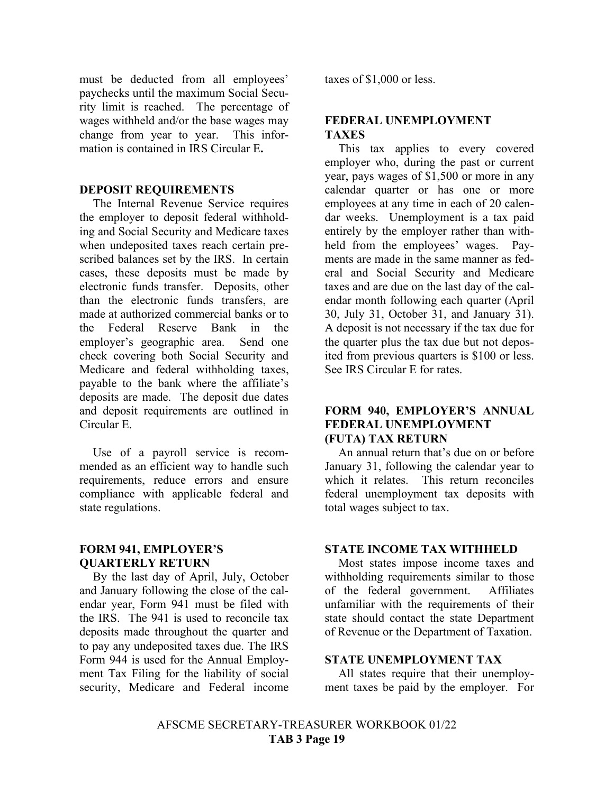must be deducted from all employees' paychecks until the maximum Social Security limit is reached. The percentage of wages withheld and/or the base wages may change from year to year. This information is contained in IRS Circular E**.**

#### **DEPOSIT REQUIREMENTS**

The Internal Revenue Service requires the employer to deposit federal withholding and Social Security and Medicare taxes when undeposited taxes reach certain prescribed balances set by the IRS. In certain cases, these deposits must be made by electronic funds transfer. Deposits, other than the electronic funds transfers, are made at authorized commercial banks or to the Federal Reserve Bank in the employer's geographic area. Send one check covering both Social Security and Medicare and federal withholding taxes, payable to the bank where the affiliate's deposits are made. The deposit due dates and deposit requirements are outlined in Circular E.

Use of a payroll service is recommended as an efficient way to handle such requirements, reduce errors and ensure compliance with applicable federal and state regulations.

#### **FORM 941, EMPLOYER'S QUARTERLY RETURN**

By the last day of April, July, October and January following the close of the calendar year, Form 941 must be filed with the IRS. The 941 is used to reconcile tax deposits made throughout the quarter and to pay any undeposited taxes due. The IRS Form 944 is used for the Annual Employment Tax Filing for the liability of social security, Medicare and Federal income

taxes of \$1,000 or less.

#### **FEDERAL UNEMPLOYMENT TAXES**

This tax applies to every covered employer who, during the past or current year, pays wages of \$1,500 or more in any calendar quarter or has one or more employees at any time in each of 20 calendar weeks. Unemployment is a tax paid entirely by the employer rather than withheld from the employees' wages. Payments are made in the same manner as federal and Social Security and Medicare taxes and are due on the last day of the calendar month following each quarter (April 30, July 31, October 31, and January 31). A deposit is not necessary if the tax due for the quarter plus the tax due but not deposited from previous quarters is \$100 or less. See IRS Circular E for rates.

#### **FORM 940, EMPLOYER'S ANNUAL FEDERAL UNEMPLOYMENT (FUTA) TAX RETURN**

An annual return that's due on or before January 31, following the calendar year to which it relates. This return reconciles federal unemployment tax deposits with total wages subject to tax.

#### **STATE INCOME TAX WITHHELD**

Most states impose income taxes and withholding requirements similar to those of the federal government. Affiliates unfamiliar with the requirements of their state should contact the state Department of Revenue or the Department of Taxation.

#### **STATE UNEMPLOYMENT TAX**

All states require that their unemployment taxes be paid by the employer. For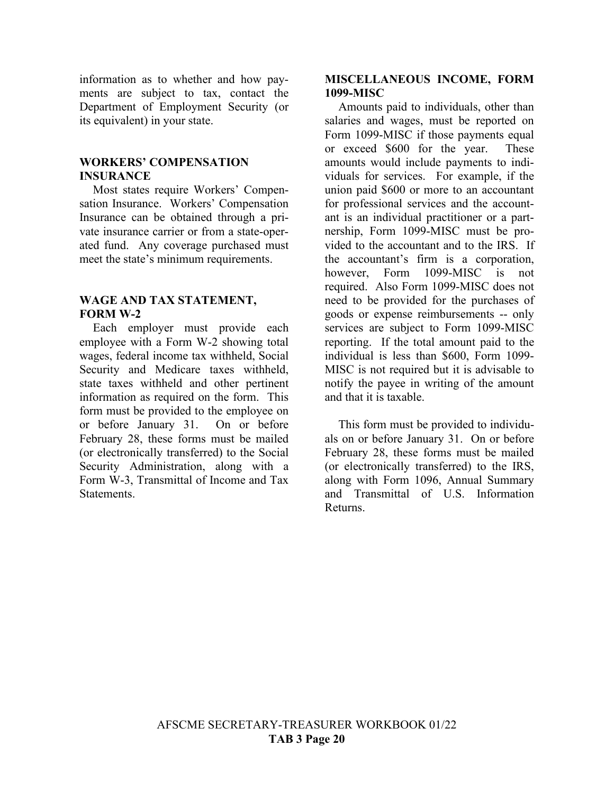information as to whether and how payments are subject to tax, contact the Department of Employment Security (or its equivalent) in your state.

#### **WORKERS' COMPENSATION INSURANCE**

Most states require Workers' Compensation Insurance. Workers' Compensation Insurance can be obtained through a private insurance carrier or from a state-operated fund. Any coverage purchased must meet the state's minimum requirements.

#### **WAGE AND TAX STATEMENT, FORM W-2**

Each employer must provide each employee with a Form W-2 showing total wages, federal income tax withheld, Social Security and Medicare taxes withheld, state taxes withheld and other pertinent information as required on the form. This form must be provided to the employee on or before January 31. On or before February 28, these forms must be mailed (or electronically transferred) to the Social Security Administration, along with a Form W-3, Transmittal of Income and Tax Statements.

#### **MISCELLANEOUS INCOME, FORM 1099-MISC**

Amounts paid to individuals, other than salaries and wages, must be reported on Form 1099-MISC if those payments equal or exceed \$600 for the year. These amounts would include payments to individuals for services. For example, if the union paid \$600 or more to an accountant for professional services and the accountant is an individual practitioner or a partnership, Form 1099-MISC must be provided to the accountant and to the IRS. If the accountant's firm is a corporation, however, Form 1099-MISC is not required. Also Form 1099-MISC does not need to be provided for the purchases of goods or expense reimbursements -- only services are subject to Form 1099-MISC reporting. If the total amount paid to the individual is less than \$600, Form 1099- MISC is not required but it is advisable to notify the payee in writing of the amount and that it is taxable.

This form must be provided to individuals on or before January 31. On or before February 28, these forms must be mailed (or electronically transferred) to the IRS, along with Form 1096, Annual Summary and Transmittal of U.S. Information Returns.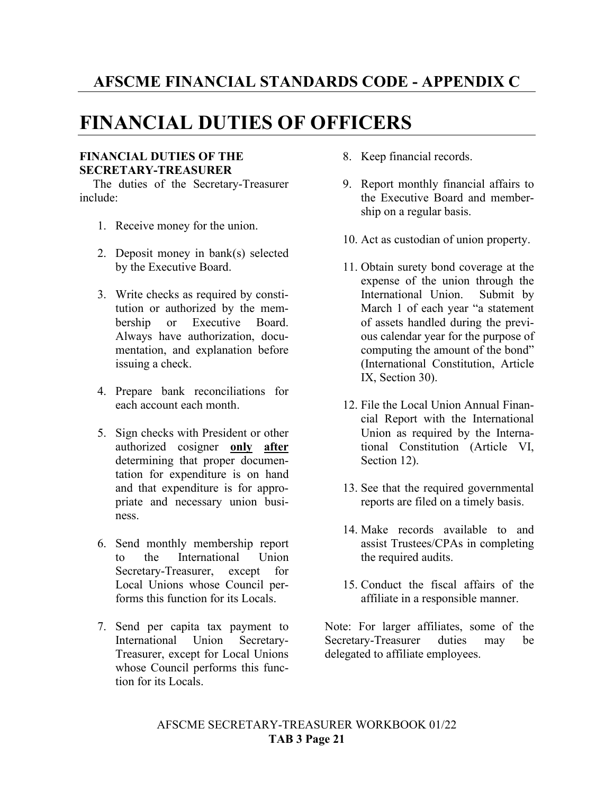### **AFSCME FINANCIAL STANDARDS CODE - APPENDIX C**

### **FINANCIAL DUTIES OF OFFICERS**

#### **FINANCIAL DUTIES OF THE SECRETARY-TREASURER**

The duties of the Secretary-Treasurer include:

- 1. Receive money for the union.
- 2. Deposit money in bank(s) selected by the Executive Board.
- 3. Write checks as required by constitution or authorized by the membership or Executive Board. Always have authorization, documentation, and explanation before issuing a check.
- 4. Prepare bank reconciliations for each account each month.
- 5. Sign checks with President or other authorized cosigner **only after** determining that proper documentation for expenditure is on hand and that expenditure is for appropriate and necessary union business.
- 6. Send monthly membership report to the International Union Secretary-Treasurer, except for Local Unions whose Council performs this function for its Locals.
- 7. Send per capita tax payment to International Union Secretary-Treasurer, except for Local Unions whose Council performs this function for its Locals.
- 8. Keep financial records.
- 9. Report monthly financial affairs to the Executive Board and membership on a regular basis.
- 10. Act as custodian of union property.
- 11. Obtain surety bond coverage at the expense of the union through the International Union. Submit by March 1 of each year "a statement of assets handled during the previous calendar year for the purpose of computing the amount of the bond" (International Constitution, Article IX, Section 30).
- 12. File the Local Union Annual Financial Report with the International Union as required by the International Constitution (Article VI, Section 12).
- 13. See that the required governmental reports are filed on a timely basis.
- 14. Make records available to and assist Trustees/CPAs in completing the required audits.
- 15. Conduct the fiscal affairs of the affiliate in a responsible manner.

Note: For larger affiliates, some of the Secretary-Treasurer duties may be delegated to affiliate employees.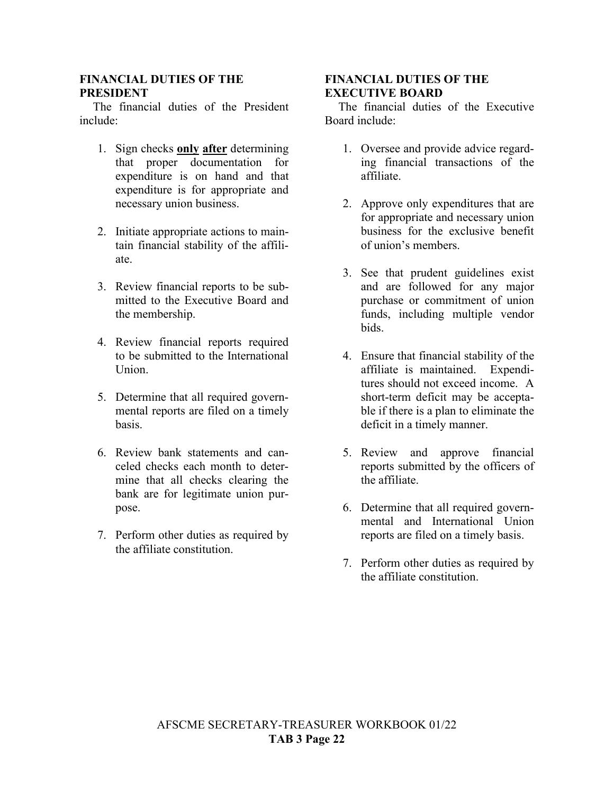#### **FINANCIAL DUTIES OF THE PRESIDENT**

The financial duties of the President include:

- 1. Sign checks **only after** determining that proper documentation for expenditure is on hand and that expenditure is for appropriate and necessary union business.
- 2. Initiate appropriate actions to maintain financial stability of the affiliate.
- 3. Review financial reports to be submitted to the Executive Board and the membership.
- 4. Review financial reports required to be submitted to the International Union.
- 5. Determine that all required governmental reports are filed on a timely basis.
- 6. Review bank statements and canceled checks each month to determine that all checks clearing the bank are for legitimate union purpose.
- 7. Perform other duties as required by the affiliate constitution.

#### **FINANCIAL DUTIES OF THE EXECUTIVE BOARD**

The financial duties of the Executive Board include:

- 1. Oversee and provide advice regarding financial transactions of the affiliate.
- 2. Approve only expenditures that are for appropriate and necessary union business for the exclusive benefit of union's members.
- 3. See that prudent guidelines exist and are followed for any major purchase or commitment of union funds, including multiple vendor bids.
- 4. Ensure that financial stability of the affiliate is maintained. Expenditures should not exceed income. A short-term deficit may be acceptable if there is a plan to eliminate the deficit in a timely manner.
- 5. Review and approve financial reports submitted by the officers of the affiliate.
- 6. Determine that all required governmental and International Union reports are filed on a timely basis.
- 7. Perform other duties as required by the affiliate constitution.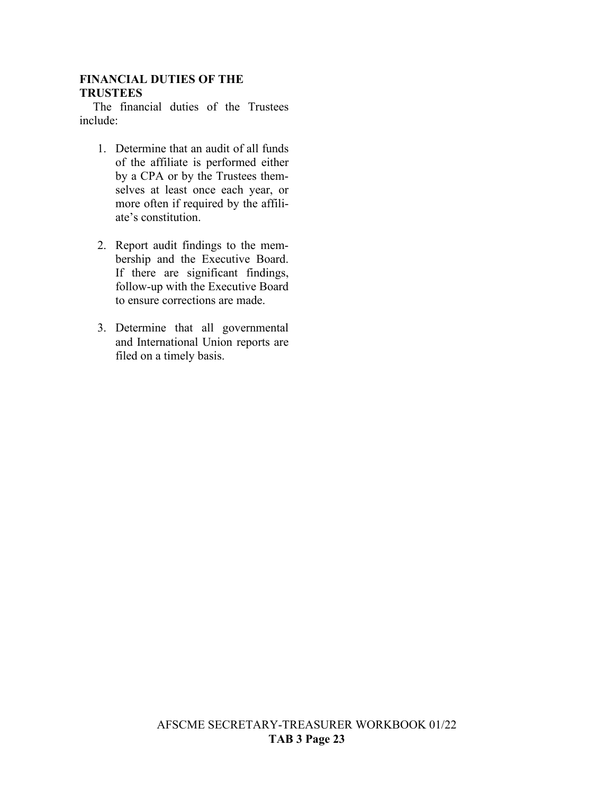#### **FINANCIAL DUTIES OF THE TRUSTEES**

The financial duties of the Trustees include:

- 1. Determine that an audit of all funds of the affiliate is performed either by a CPA or by the Trustees themselves at least once each year, or more often if required by the affiliate's constitution.
- 2. Report audit findings to the membership and the Executive Board. If there are significant findings, follow-up with the Executive Board to ensure corrections are made.
- 3. Determine that all governmental and International Union reports are filed on a timely basis.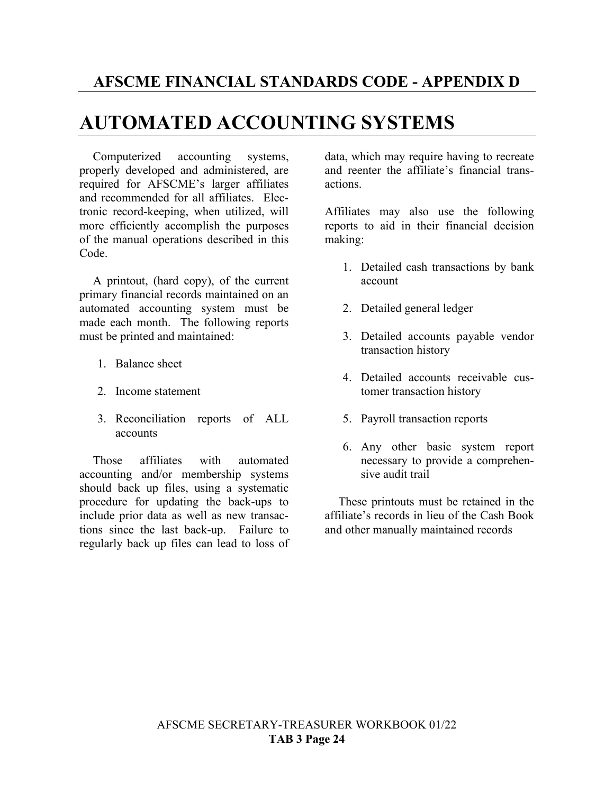## **AUTOMATED ACCOUNTING SYSTEMS**

Computerized accounting systems, properly developed and administered, are required for AFSCME's larger affiliates and recommended for all affiliates. Electronic record-keeping, when utilized, will more efficiently accomplish the purposes of the manual operations described in this Code.

A printout, (hard copy), of the current primary financial records maintained on an automated accounting system must be made each month. The following reports must be printed and maintained:

- 1. Balance sheet
- 2. Income statement
- 3. Reconciliation reports of ALL accounts

Those affiliates with automated accounting and/or membership systems should back up files, using a systematic procedure for updating the back-ups to include prior data as well as new transactions since the last back-up. Failure to regularly back up files can lead to loss of data, which may require having to recreate and reenter the affiliate's financial transactions.

Affiliates may also use the following reports to aid in their financial decision making:

- 1. Detailed cash transactions by bank account
- 2. Detailed general ledger
- 3. Detailed accounts payable vendor transaction history
- 4. Detailed accounts receivable customer transaction history
- 5. Payroll transaction reports
- 6. Any other basic system report necessary to provide a comprehensive audit trail

These printouts must be retained in the affiliate's records in lieu of the Cash Book and other manually maintained records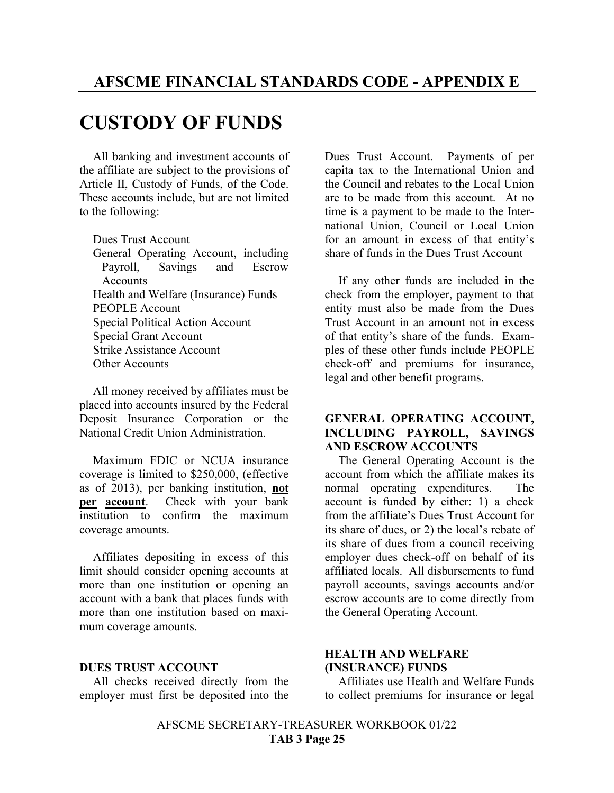### **CUSTODY OF FUNDS**

All banking and investment accounts of the affiliate are subject to the provisions of Article II, Custody of Funds, of the Code. These accounts include, but are not limited to the following:

Dues Trust Account

General Operating Account, including Payroll, Savings and Escrow Accounts Health and Welfare (Insurance) Funds PEOPLE Account Special Political Action Account Special Grant Account Strike Assistance Account Other Accounts

All money received by affiliates must be placed into accounts insured by the Federal Deposit Insurance Corporation or the National Credit Union Administration.

Maximum FDIC or NCUA insurance coverage is limited to \$250,000, (effective as of 2013), per banking institution, **not per account**. Check with your bank institution to confirm the maximum coverage amounts.

Affiliates depositing in excess of this limit should consider opening accounts at more than one institution or opening an account with a bank that places funds with more than one institution based on maximum coverage amounts.

#### **DUES TRUST ACCOUNT**

All checks received directly from the employer must first be deposited into the Dues Trust Account. Payments of per capita tax to the International Union and the Council and rebates to the Local Union are to be made from this account. At no time is a payment to be made to the International Union, Council or Local Union for an amount in excess of that entity's share of funds in the Dues Trust Account

If any other funds are included in the check from the employer, payment to that entity must also be made from the Dues Trust Account in an amount not in excess of that entity's share of the funds. Examples of these other funds include PEOPLE check-off and premiums for insurance, legal and other benefit programs.

#### **GENERAL OPERATING ACCOUNT, INCLUDING PAYROLL, SAVINGS AND ESCROW ACCOUNTS**

The General Operating Account is the account from which the affiliate makes its normal operating expenditures. The account is funded by either: 1) a check from the affiliate's Dues Trust Account for its share of dues, or 2) the local's rebate of its share of dues from a council receiving employer dues check-off on behalf of its affiliated locals. All disbursements to fund payroll accounts, savings accounts and/or escrow accounts are to come directly from the General Operating Account.

#### **HEALTH AND WELFARE (INSURANCE) FUNDS**

Affiliates use Health and Welfare Funds to collect premiums for insurance or legal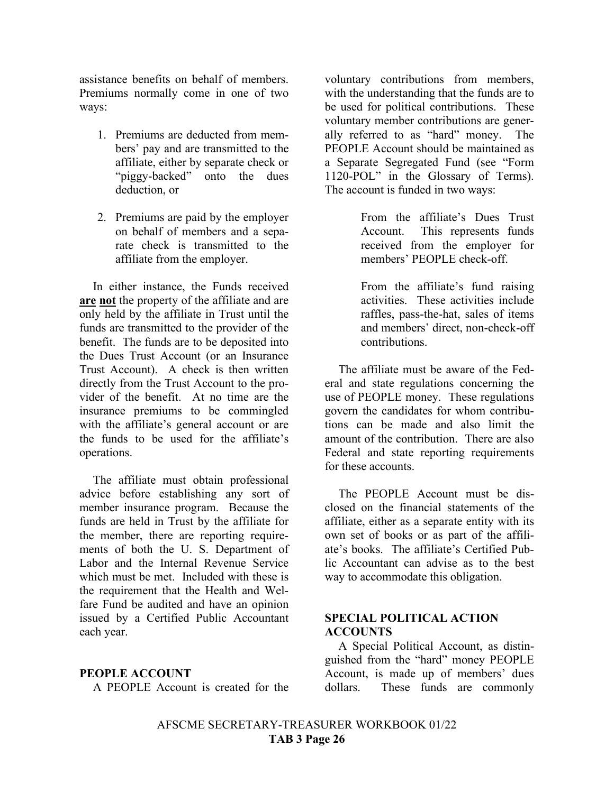assistance benefits on behalf of members. Premiums normally come in one of two ways:

- 1. Premiums are deducted from members' pay and are transmitted to the affiliate, either by separate check or "piggy-backed" onto the dues deduction, or
- 2. Premiums are paid by the employer on behalf of members and a separate check is transmitted to the affiliate from the employer.

In either instance, the Funds received **are not** the property of the affiliate and are only held by the affiliate in Trust until the funds are transmitted to the provider of the benefit. The funds are to be deposited into the Dues Trust Account (or an Insurance Trust Account). A check is then written directly from the Trust Account to the provider of the benefit. At no time are the insurance premiums to be commingled with the affiliate's general account or are the funds to be used for the affiliate's operations.

The affiliate must obtain professional advice before establishing any sort of member insurance program. Because the funds are held in Trust by the affiliate for the member, there are reporting requirements of both the U. S. Department of Labor and the Internal Revenue Service which must be met. Included with these is the requirement that the Health and Welfare Fund be audited and have an opinion issued by a Certified Public Accountant each year.

#### **PEOPLE ACCOUNT**

A PEOPLE Account is created for the

voluntary contributions from members, with the understanding that the funds are to be used for political contributions. These voluntary member contributions are generally referred to as "hard" money. The PEOPLE Account should be maintained as a Separate Segregated Fund (see "Form 1120-POL" in the Glossary of Terms). The account is funded in two ways:

> From the affiliate's Dues Trust Account. This represents funds received from the employer for members' PEOPLE check-off.

> From the affiliate's fund raising activities. These activities include raffles, pass-the-hat, sales of items and members' direct, non-check-off contributions.

The affiliate must be aware of the Federal and state regulations concerning the use of PEOPLE money. These regulations govern the candidates for whom contributions can be made and also limit the amount of the contribution. There are also Federal and state reporting requirements for these accounts.

The PEOPLE Account must be disclosed on the financial statements of the affiliate, either as a separate entity with its own set of books or as part of the affiliate's books. The affiliate's Certified Public Accountant can advise as to the best way to accommodate this obligation.

#### **SPECIAL POLITICAL ACTION ACCOUNTS**

A Special Political Account, as distinguished from the "hard" money PEOPLE Account, is made up of members' dues dollars. These funds are commonly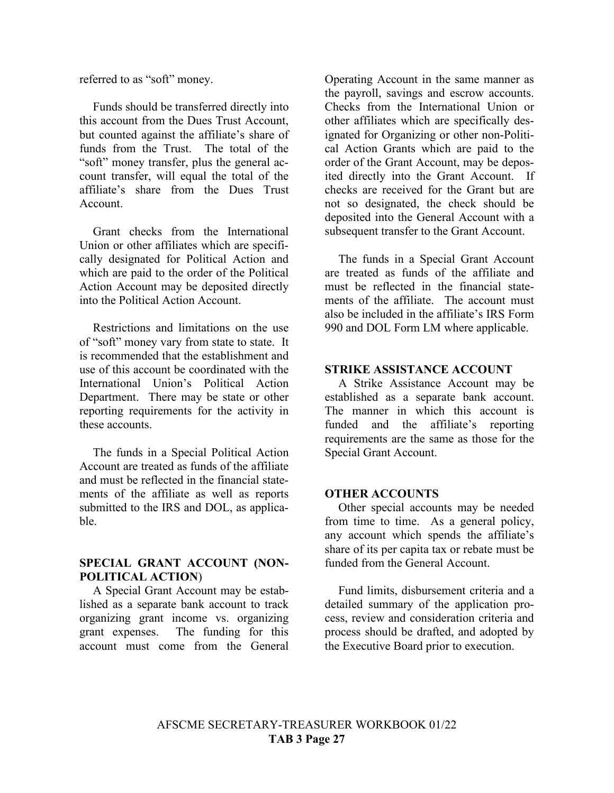referred to as "soft" money.

Funds should be transferred directly into this account from the Dues Trust Account, but counted against the affiliate's share of funds from the Trust. The total of the "soft" money transfer, plus the general account transfer, will equal the total of the affiliate's share from the Dues Trust Account.

Grant checks from the International Union or other affiliates which are specifically designated for Political Action and which are paid to the order of the Political Action Account may be deposited directly into the Political Action Account.

Restrictions and limitations on the use of "soft" money vary from state to state. It is recommended that the establishment and use of this account be coordinated with the International Union's Political Action Department. There may be state or other reporting requirements for the activity in these accounts.

The funds in a Special Political Action Account are treated as funds of the affiliate and must be reflected in the financial statements of the affiliate as well as reports submitted to the IRS and DOL, as applicable.

#### **SPECIAL GRANT ACCOUNT (NON-POLITICAL ACTION**)

A Special Grant Account may be established as a separate bank account to track organizing grant income vs. organizing grant expenses. The funding for this account must come from the General

Operating Account in the same manner as the payroll, savings and escrow accounts. Checks from the International Union or other affiliates which are specifically designated for Organizing or other non-Political Action Grants which are paid to the order of the Grant Account, may be deposited directly into the Grant Account. If checks are received for the Grant but are not so designated, the check should be deposited into the General Account with a subsequent transfer to the Grant Account.

The funds in a Special Grant Account are treated as funds of the affiliate and must be reflected in the financial statements of the affiliate. The account must also be included in the affiliate's IRS Form 990 and DOL Form LM where applicable.

#### **STRIKE ASSISTANCE ACCOUNT**

A Strike Assistance Account may be established as a separate bank account. The manner in which this account is funded and the affiliate's reporting requirements are the same as those for the Special Grant Account.

#### **OTHER ACCOUNTS**

Other special accounts may be needed from time to time. As a general policy, any account which spends the affiliate's share of its per capita tax or rebate must be funded from the General Account.

Fund limits, disbursement criteria and a detailed summary of the application process, review and consideration criteria and process should be drafted, and adopted by the Executive Board prior to execution.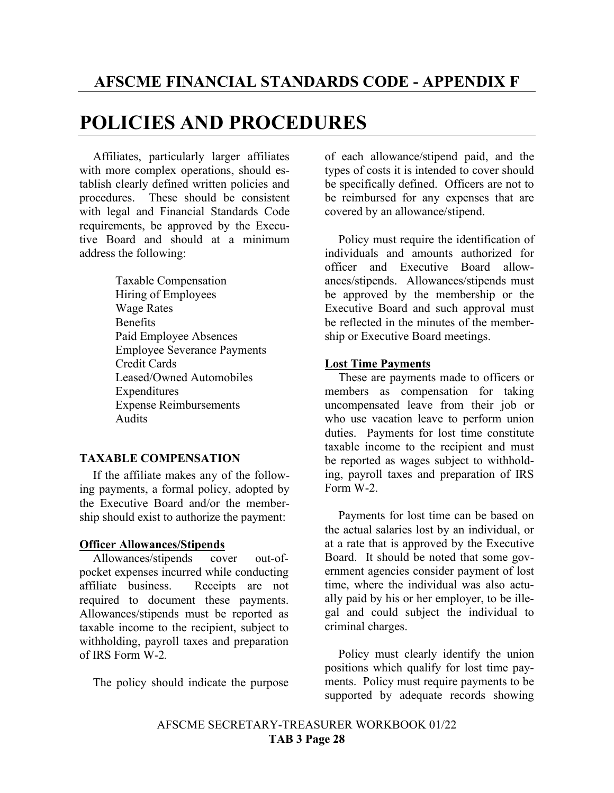### **POLICIES AND PROCEDURES**

Affiliates, particularly larger affiliates with more complex operations, should establish clearly defined written policies and procedures. These should be consistent with legal and Financial Standards Code requirements, be approved by the Executive Board and should at a minimum address the following:

> Taxable Compensation Hiring of Employees Wage Rates **Benefits** Paid Employee Absences Employee Severance Payments Credit Cards Leased/Owned Automobiles **Expenditures** Expense Reimbursements Audits

#### **TAXABLE COMPENSATION**

If the affiliate makes any of the following payments, a formal policy, adopted by the Executive Board and/or the membership should exist to authorize the payment:

#### **Officer Allowances/Stipends**

Allowances/stipends cover out-ofpocket expenses incurred while conducting affiliate business. Receipts are not required to document these payments. Allowances/stipends must be reported as taxable income to the recipient, subject to withholding, payroll taxes and preparation of IRS Form W-2*.*

The policy should indicate the purpose

of each allowance/stipend paid, and the types of costs it is intended to cover should be specifically defined. Officers are not to be reimbursed for any expenses that are covered by an allowance/stipend.

Policy must require the identification of individuals and amounts authorized for officer and Executive Board allowances/stipends. Allowances/stipends must be approved by the membership or the Executive Board and such approval must be reflected in the minutes of the membership or Executive Board meetings.

#### **Lost Time Payments**

These are payments made to officers or members as compensation for taking uncompensated leave from their job or who use vacation leave to perform union duties. Payments for lost time constitute taxable income to the recipient and must be reported as wages subject to withholding, payroll taxes and preparation of IRS Form W-2.

Payments for lost time can be based on the actual salaries lost by an individual, or at a rate that is approved by the Executive Board. It should be noted that some government agencies consider payment of lost time, where the individual was also actually paid by his or her employer, to be illegal and could subject the individual to criminal charges.

Policy must clearly identify the union positions which qualify for lost time payments. Policy must require payments to be supported by adequate records showing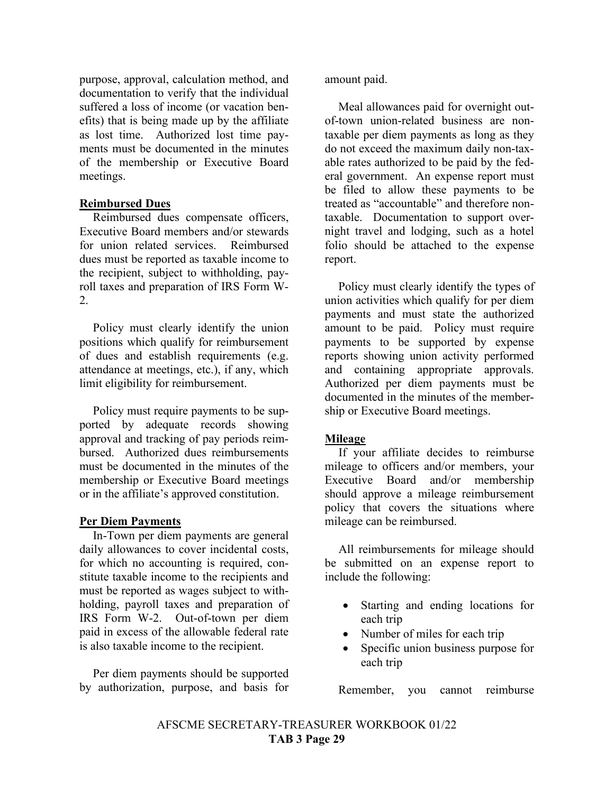purpose, approval, calculation method, and documentation to verify that the individual suffered a loss of income (or vacation benefits) that is being made up by the affiliate as lost time. Authorized lost time payments must be documented in the minutes of the membership or Executive Board meetings.

#### **Reimbursed Dues**

Reimbursed dues compensate officers, Executive Board members and/or stewards for union related services. Reimbursed dues must be reported as taxable income to the recipient, subject to withholding, payroll taxes and preparation of IRS Form W-2.

Policy must clearly identify the union positions which qualify for reimbursement of dues and establish requirements (e.g. attendance at meetings, etc.), if any, which limit eligibility for reimbursement.

Policy must require payments to be supported by adequate records showing approval and tracking of pay periods reimbursed. Authorized dues reimbursements must be documented in the minutes of the membership or Executive Board meetings or in the affiliate's approved constitution.

#### **Per Diem Payments**

In-Town per diem payments are general daily allowances to cover incidental costs, for which no accounting is required, constitute taxable income to the recipients and must be reported as wages subject to withholding, payroll taxes and preparation of IRS Form W-2. Out-of-town per diem paid in excess of the allowable federal rate is also taxable income to the recipient.

Per diem payments should be supported by authorization, purpose, and basis for

amount paid.

Meal allowances paid for overnight outof-town union-related business are nontaxable per diem payments as long as they do not exceed the maximum daily non-taxable rates authorized to be paid by the federal government. An expense report must be filed to allow these payments to be treated as "accountable" and therefore nontaxable. Documentation to support overnight travel and lodging, such as a hotel folio should be attached to the expense report.

Policy must clearly identify the types of union activities which qualify for per diem payments and must state the authorized amount to be paid. Policy must require payments to be supported by expense reports showing union activity performed and containing appropriate approvals. Authorized per diem payments must be documented in the minutes of the membership or Executive Board meetings.

#### **Mileage**

If your affiliate decides to reimburse mileage to officers and/or members, your Executive Board and/or membership should approve a mileage reimbursement policy that covers the situations where mileage can be reimbursed.

All reimbursements for mileage should be submitted on an expense report to include the following:

- Starting and ending locations for each trip
- Number of miles for each trip
- Specific union business purpose for each trip

Remember, you cannot reimburse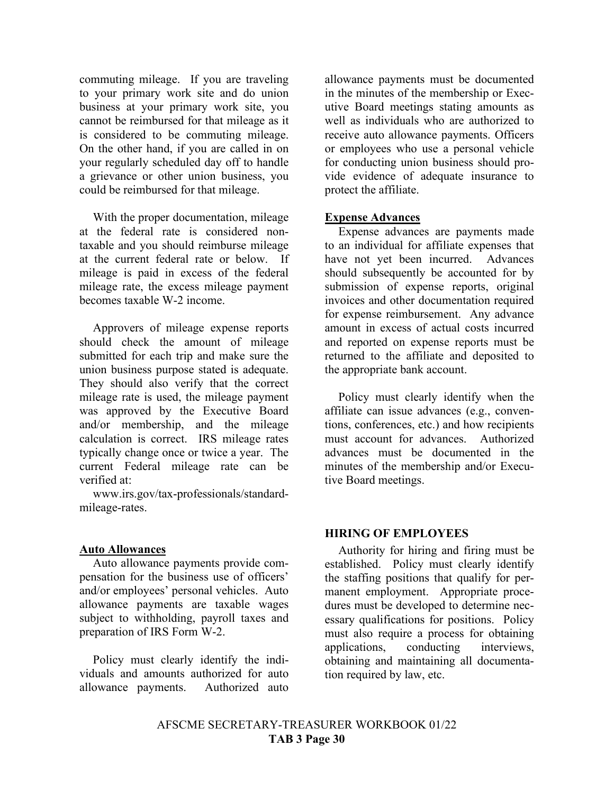commuting mileage. If you are traveling to your primary work site and do union business at your primary work site, you cannot be reimbursed for that mileage as it is considered to be commuting mileage. On the other hand, if you are called in on your regularly scheduled day off to handle a grievance or other union business, you could be reimbursed for that mileage.

With the proper documentation, mileage at the federal rate is considered nontaxable and you should reimburse mileage at the current federal rate or below. If mileage is paid in excess of the federal mileage rate, the excess mileage payment becomes taxable W-2 income.

Approvers of mileage expense reports should check the amount of mileage submitted for each trip and make sure the union business purpose stated is adequate. They should also verify that the correct mileage rate is used, the mileage payment was approved by the Executive Board and/or membership, and the mileage calculation is correct. IRS mileage rates typically change once or twice a year. The current Federal mileage rate can be verified at:

www.irs.gov/tax-professionals/standardmileage-rates.

#### **Auto Allowances**

Auto allowance payments provide compensation for the business use of officers' and/or employees' personal vehicles. Auto allowance payments are taxable wages subject to withholding, payroll taxes and preparation of IRS Form W-2.

Policy must clearly identify the individuals and amounts authorized for auto allowance payments. Authorized auto

allowance payments must be documented in the minutes of the membership or Executive Board meetings stating amounts as well as individuals who are authorized to receive auto allowance payments. Officers or employees who use a personal vehicle for conducting union business should provide evidence of adequate insurance to protect the affiliate.

#### **Expense Advances**

Expense advances are payments made to an individual for affiliate expenses that have not yet been incurred. Advances should subsequently be accounted for by submission of expense reports, original invoices and other documentation required for expense reimbursement. Any advance amount in excess of actual costs incurred and reported on expense reports must be returned to the affiliate and deposited to the appropriate bank account.

Policy must clearly identify when the affiliate can issue advances (e.g., conventions, conferences, etc.) and how recipients must account for advances. Authorized advances must be documented in the minutes of the membership and/or Executive Board meetings.

#### **HIRING OF EMPLOYEES**

Authority for hiring and firing must be established. Policy must clearly identify the staffing positions that qualify for permanent employment. Appropriate procedures must be developed to determine necessary qualifications for positions. Policy must also require a process for obtaining applications, conducting interviews, obtaining and maintaining all documentation required by law, etc.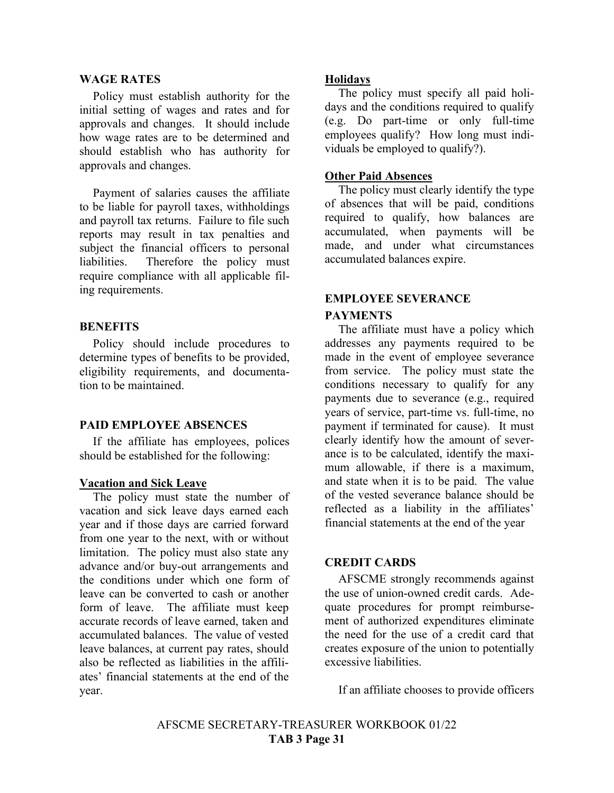#### **WAGE RATES**

Policy must establish authority for the initial setting of wages and rates and for approvals and changes. It should include how wage rates are to be determined and should establish who has authority for approvals and changes.

Payment of salaries causes the affiliate to be liable for payroll taxes, withholdings and payroll tax returns. Failure to file such reports may result in tax penalties and subject the financial officers to personal liabilities. Therefore the policy must require compliance with all applicable filing requirements.

#### **BENEFITS**

Policy should include procedures to determine types of benefits to be provided, eligibility requirements, and documentation to be maintained.

#### **PAID EMPLOYEE ABSENCES**

If the affiliate has employees, polices should be established for the following:

#### **Vacation and Sick Leave**

The policy must state the number of vacation and sick leave days earned each year and if those days are carried forward from one year to the next, with or without limitation. The policy must also state any advance and/or buy-out arrangements and the conditions under which one form of leave can be converted to cash or another form of leave. The affiliate must keep accurate records of leave earned, taken and accumulated balances. The value of vested leave balances, at current pay rates, should also be reflected as liabilities in the affiliates' financial statements at the end of the year.

#### **Holidays**

The policy must specify all paid holidays and the conditions required to qualify (e.g. Do part-time or only full-time employees qualify? How long must individuals be employed to qualify?).

#### **Other Paid Absences**

The policy must clearly identify the type of absences that will be paid, conditions required to qualify, how balances are accumulated, when payments will be made, and under what circumstances accumulated balances expire.

#### **EMPLOYEE SEVERANCE PAYMENTS**

The affiliate must have a policy which addresses any payments required to be made in the event of employee severance from service. The policy must state the conditions necessary to qualify for any payments due to severance (e.g., required years of service, part-time vs. full-time, no payment if terminated for cause). It must clearly identify how the amount of severance is to be calculated, identify the maximum allowable, if there is a maximum, and state when it is to be paid. The value of the vested severance balance should be reflected as a liability in the affiliates' financial statements at the end of the year

#### **CREDIT CARDS**

AFSCME strongly recommends against the use of union-owned credit cards. Adequate procedures for prompt reimbursement of authorized expenditures eliminate the need for the use of a credit card that creates exposure of the union to potentially excessive liabilities.

If an affiliate chooses to provide officers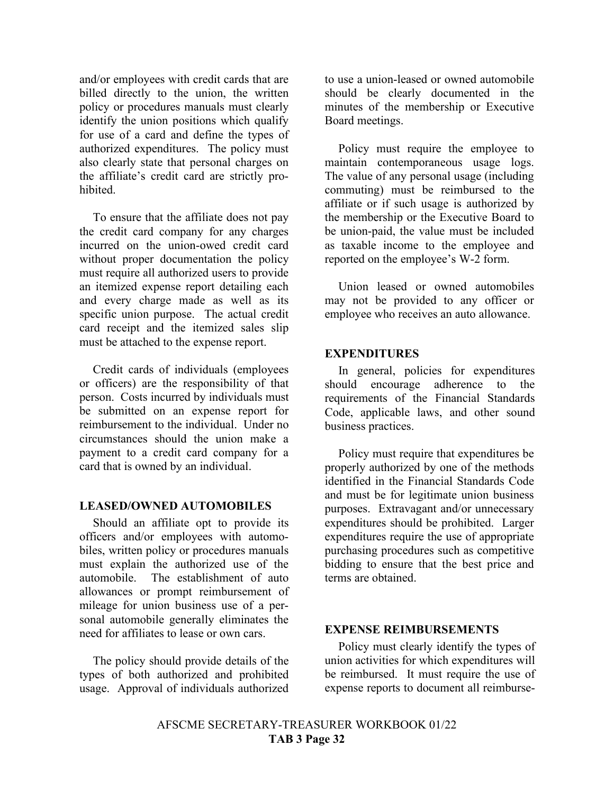and/or employees with credit cards that are billed directly to the union, the written policy or procedures manuals must clearly identify the union positions which qualify for use of a card and define the types of authorized expenditures. The policy must also clearly state that personal charges on the affiliate's credit card are strictly prohibited.

To ensure that the affiliate does not pay the credit card company for any charges incurred on the union-owed credit card without proper documentation the policy must require all authorized users to provide an itemized expense report detailing each and every charge made as well as its specific union purpose. The actual credit card receipt and the itemized sales slip must be attached to the expense report.

Credit cards of individuals (employees or officers) are the responsibility of that person. Costs incurred by individuals must be submitted on an expense report for reimbursement to the individual. Under no circumstances should the union make a payment to a credit card company for a card that is owned by an individual.

#### **LEASED/OWNED AUTOMOBILES**

Should an affiliate opt to provide its officers and/or employees with automobiles, written policy or procedures manuals must explain the authorized use of the automobile. The establishment of auto allowances or prompt reimbursement of mileage for union business use of a personal automobile generally eliminates the need for affiliates to lease or own cars.

The policy should provide details of the types of both authorized and prohibited usage. Approval of individuals authorized

to use a union-leased or owned automobile should be clearly documented in the minutes of the membership or Executive Board meetings.

Policy must require the employee to maintain contemporaneous usage logs. The value of any personal usage (including commuting) must be reimbursed to the affiliate or if such usage is authorized by the membership or the Executive Board to be union-paid, the value must be included as taxable income to the employee and reported on the employee's W-2 form.

Union leased or owned automobiles may not be provided to any officer or employee who receives an auto allowance.

#### **EXPENDITURES**

In general, policies for expenditures should encourage adherence to the requirements of the Financial Standards Code, applicable laws, and other sound business practices.

Policy must require that expenditures be properly authorized by one of the methods identified in the Financial Standards Code and must be for legitimate union business purposes. Extravagant and/or unnecessary expenditures should be prohibited. Larger expenditures require the use of appropriate purchasing procedures such as competitive bidding to ensure that the best price and terms are obtained.

#### **EXPENSE REIMBURSEMENTS**

Policy must clearly identify the types of union activities for which expenditures will be reimbursed. It must require the use of expense reports to document all reimburse-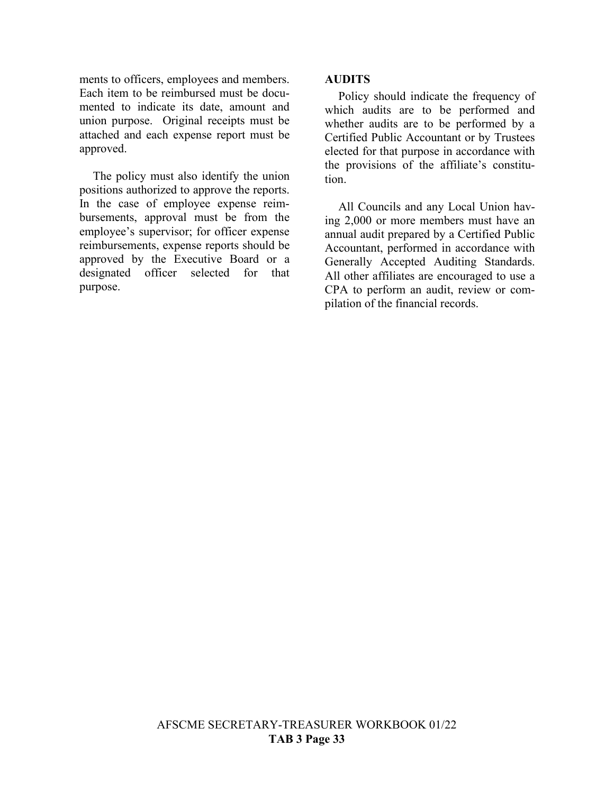ments to officers, employees and members. Each item to be reimbursed must be documented to indicate its date, amount and union purpose. Original receipts must be attached and each expense report must be approved.

The policy must also identify the union positions authorized to approve the reports. In the case of employee expense reimbursements, approval must be from the employee's supervisor; for officer expense reimbursements, expense reports should be approved by the Executive Board or a designated officer selected for that purpose.

#### **AUDITS**

Policy should indicate the frequency of which audits are to be performed and whether audits are to be performed by a Certified Public Accountant or by Trustees elected for that purpose in accordance with the provisions of the affiliate's constitution.

All Councils and any Local Union having 2,000 or more members must have an annual audit prepared by a Certified Public Accountant, performed in accordance with Generally Accepted Auditing Standards. All other affiliates are encouraged to use a CPA to perform an audit, review or compilation of the financial records.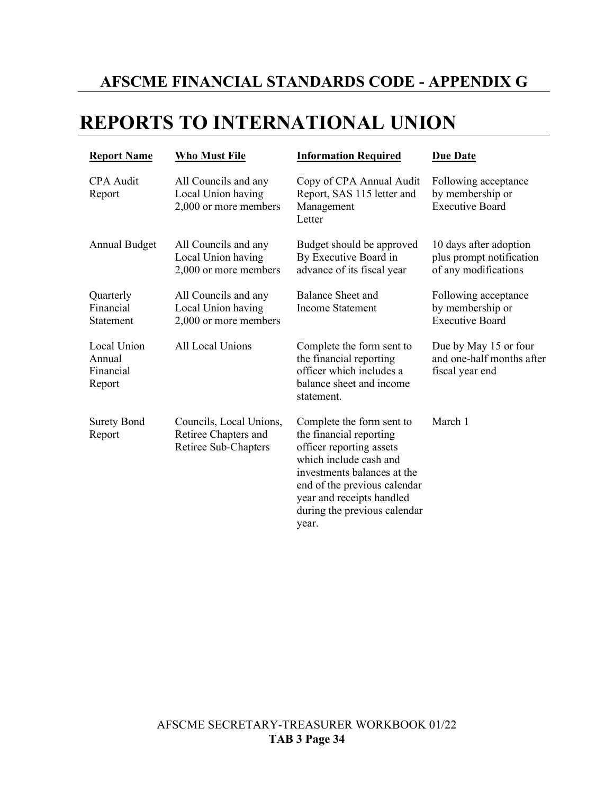### **AFSCME FINANCIAL STANDARDS CODE - APPENDIX G**

## **REPORTS TO INTERNATIONAL UNION**

| <b>Report Name</b>                           | <b>Who Must File</b>                                                    | <b>Information Required</b>                                                                                                                                                                                                                     | <b>Due Date</b>                                                            |
|----------------------------------------------|-------------------------------------------------------------------------|-------------------------------------------------------------------------------------------------------------------------------------------------------------------------------------------------------------------------------------------------|----------------------------------------------------------------------------|
| <b>CPA</b> Audit<br>Report                   | All Councils and any<br>Local Union having<br>2,000 or more members     | Copy of CPA Annual Audit<br>Report, SAS 115 letter and<br>Management<br>Letter                                                                                                                                                                  | Following acceptance<br>by membership or<br><b>Executive Board</b>         |
| <b>Annual Budget</b>                         | All Councils and any<br>Local Union having<br>2,000 or more members     | Budget should be approved<br>By Executive Board in<br>advance of its fiscal year                                                                                                                                                                | 10 days after adoption<br>plus prompt notification<br>of any modifications |
| Quarterly<br>Financial<br>Statement          | All Councils and any<br>Local Union having<br>2,000 or more members     | Balance Sheet and<br><b>Income Statement</b>                                                                                                                                                                                                    | Following acceptance<br>by membership or<br><b>Executive Board</b>         |
| Local Union<br>Annual<br>Financial<br>Report | All Local Unions                                                        | Complete the form sent to<br>the financial reporting<br>officer which includes a<br>balance sheet and income<br>statement.                                                                                                                      | Due by May 15 or four<br>and one-half months after<br>fiscal year end      |
| <b>Surety Bond</b><br>Report                 | Councils, Local Unions,<br>Retiree Chapters and<br>Retiree Sub-Chapters | Complete the form sent to<br>the financial reporting<br>officer reporting assets<br>which include cash and<br>investments balances at the<br>end of the previous calendar<br>year and receipts handled<br>during the previous calendar<br>year. | March 1                                                                    |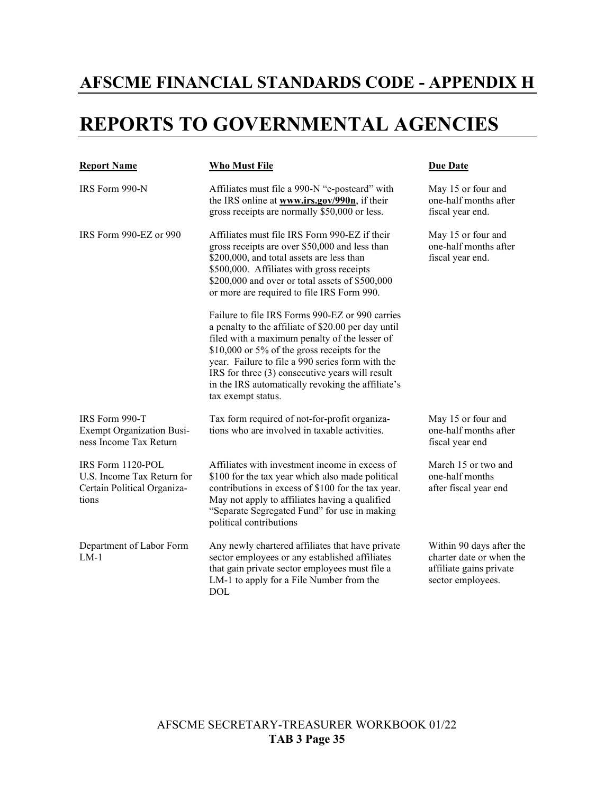### **AFSCME FINANCIAL STANDARDS CODE - APPENDIX H**

## **REPORTS TO GOVERNMENTAL AGENCIES**

| <b>Report Name</b>                                                                      | <b>Who Must File</b>                                                                                                                                                                                                                                                                                                                                                                      | <b>Due Date</b>                                                                                      |
|-----------------------------------------------------------------------------------------|-------------------------------------------------------------------------------------------------------------------------------------------------------------------------------------------------------------------------------------------------------------------------------------------------------------------------------------------------------------------------------------------|------------------------------------------------------------------------------------------------------|
| IRS Form 990-N                                                                          | Affiliates must file a 990-N "e-postcard" with<br>the IRS online at www.irs.gov/990n, if their<br>gross receipts are normally \$50,000 or less.                                                                                                                                                                                                                                           | May 15 or four and<br>one-half months after<br>fiscal year end.                                      |
| IRS Form 990-EZ or 990                                                                  | Affiliates must file IRS Form 990-EZ if their<br>gross receipts are over \$50,000 and less than<br>\$200,000, and total assets are less than<br>\$500,000. Affiliates with gross receipts<br>\$200,000 and over or total assets of \$500,000<br>or more are required to file IRS Form 990.                                                                                                | May 15 or four and<br>one-half months after<br>fiscal year end.                                      |
|                                                                                         | Failure to file IRS Forms 990-EZ or 990 carries<br>a penalty to the affiliate of \$20.00 per day until<br>filed with a maximum penalty of the lesser of<br>\$10,000 or 5% of the gross receipts for the<br>year. Failure to file a 990 series form with the<br>IRS for three (3) consecutive years will result<br>in the IRS automatically revoking the affiliate's<br>tax exempt status. |                                                                                                      |
| IRS Form 990-T<br><b>Exempt Organization Busi-</b><br>ness Income Tax Return            | Tax form required of not-for-profit organiza-<br>tions who are involved in taxable activities.                                                                                                                                                                                                                                                                                            | May 15 or four and<br>one-half months after<br>fiscal year end                                       |
| IRS Form 1120-POL<br>U.S. Income Tax Return for<br>Certain Political Organiza-<br>tions | Affiliates with investment income in excess of<br>\$100 for the tax year which also made political<br>contributions in excess of \$100 for the tax year.<br>May not apply to affiliates having a qualified<br>"Separate Segregated Fund" for use in making<br>political contributions                                                                                                     | March 15 or two and<br>one-half months<br>after fiscal year end                                      |
| Department of Labor Form<br>$LM-1$                                                      | Any newly chartered affiliates that have private<br>sector employees or any established affiliates<br>that gain private sector employees must file a<br>LM-1 to apply for a File Number from the<br><b>DOL</b>                                                                                                                                                                            | Within 90 days after the<br>charter date or when the<br>affiliate gains private<br>sector employees. |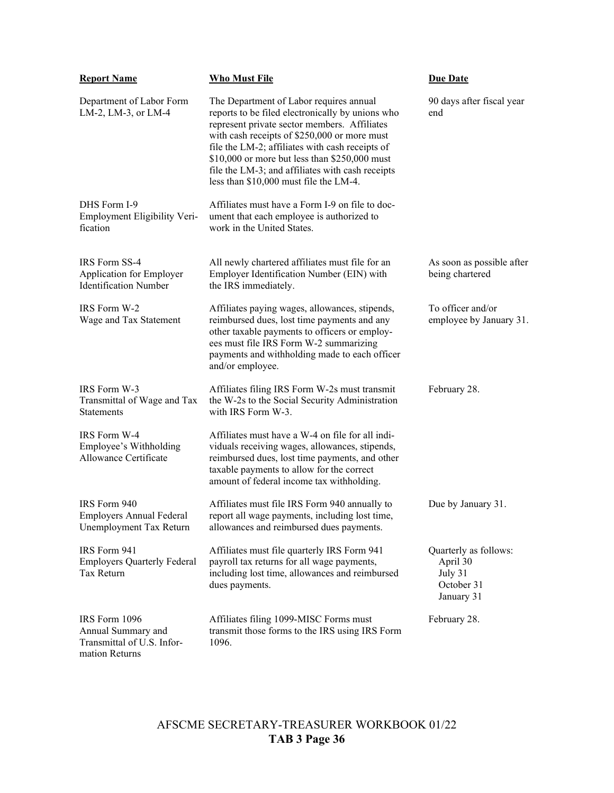| <b>Report Name</b>                                                                  | <b>Who Must File</b>                                                                                                                                                                                                                                                                                                                                                                          | <b>Due Date</b>                                                          |
|-------------------------------------------------------------------------------------|-----------------------------------------------------------------------------------------------------------------------------------------------------------------------------------------------------------------------------------------------------------------------------------------------------------------------------------------------------------------------------------------------|--------------------------------------------------------------------------|
| Department of Labor Form<br>LM-2, LM-3, or LM-4                                     | The Department of Labor requires annual<br>reports to be filed electronically by unions who<br>represent private sector members. Affiliates<br>with cash receipts of \$250,000 or more must<br>file the LM-2; affiliates with cash receipts of<br>\$10,000 or more but less than \$250,000 must<br>file the LM-3; and affiliates with cash receipts<br>less than \$10,000 must file the LM-4. | 90 days after fiscal year<br>end                                         |
| DHS Form I-9<br>Employment Eligibility Veri-<br>fication                            | Affiliates must have a Form I-9 on file to doc-<br>ument that each employee is authorized to<br>work in the United States.                                                                                                                                                                                                                                                                    |                                                                          |
| IRS Form SS-4<br>Application for Employer<br><b>Identification Number</b>           | All newly chartered affiliates must file for an<br>Employer Identification Number (EIN) with<br>the IRS immediately.                                                                                                                                                                                                                                                                          | As soon as possible after<br>being chartered                             |
| IRS Form W-2<br>Wage and Tax Statement                                              | Affiliates paying wages, allowances, stipends,<br>reimbursed dues, lost time payments and any<br>other taxable payments to officers or employ-<br>ees must file IRS Form W-2 summarizing<br>payments and withholding made to each officer<br>and/or employee.                                                                                                                                 | To officer and/or<br>employee by January 31.                             |
| IRS Form W-3<br>Transmittal of Wage and Tax<br>Statements                           | Affiliates filing IRS Form W-2s must transmit<br>the W-2s to the Social Security Administration<br>with IRS Form W-3.                                                                                                                                                                                                                                                                         | February 28.                                                             |
| IRS Form W-4<br>Employee's Withholding<br>Allowance Certificate                     | Affiliates must have a W-4 on file for all indi-<br>viduals receiving wages, allowances, stipends,<br>reimbursed dues, lost time payments, and other<br>taxable payments to allow for the correct<br>amount of federal income tax withholding.                                                                                                                                                |                                                                          |
| IRS Form 940<br><b>Employers Annual Federal</b><br>Unemployment Tax Return          | Affiliates must file IRS Form 940 annually to<br>report all wage payments, including lost time,<br>allowances and reimbursed dues payments.                                                                                                                                                                                                                                                   | Due by January 31.                                                       |
| IRS Form 941<br><b>Employers Quarterly Federal</b><br>Tax Return                    | Affiliates must file quarterly IRS Form 941<br>payroll tax returns for all wage payments,<br>including lost time, allowances and reimbursed<br>dues payments.                                                                                                                                                                                                                                 | Quarterly as follows:<br>April 30<br>July 31<br>October 31<br>January 31 |
| IRS Form 1096<br>Annual Summary and<br>Transmittal of U.S. Infor-<br>mation Returns | Affiliates filing 1099-MISC Forms must<br>transmit those forms to the IRS using IRS Form<br>1096.                                                                                                                                                                                                                                                                                             | February 28.                                                             |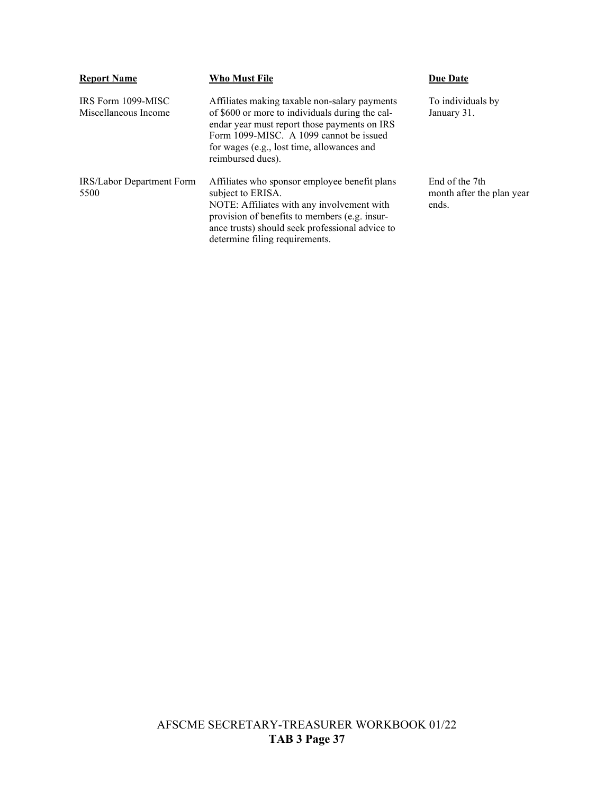| <b>Report Name</b>                         | <b>Who Must File</b>                                                                                                                                                                                                                                           | <b>Due Date</b>                                      |
|--------------------------------------------|----------------------------------------------------------------------------------------------------------------------------------------------------------------------------------------------------------------------------------------------------------------|------------------------------------------------------|
| IRS Form 1099-MISC<br>Miscellaneous Income | Affiliates making taxable non-salary payments<br>of \$600 or more to individuals during the cal-<br>endar year must report those payments on IRS<br>Form 1099-MISC. A 1099 cannot be issued<br>for wages (e.g., lost time, allowances and<br>reimbursed dues). | To individuals by<br>January 31.                     |
| IRS/Labor Department Form<br>5500          | Affiliates who sponsor employee benefit plans<br>subject to ERISA.<br>NOTE: Affiliates with any involvement with<br>provision of benefits to members (e.g. insur-<br>ance trusts) should seek professional advice to<br>determine filing requirements.         | End of the 7th<br>month after the plan year<br>ends. |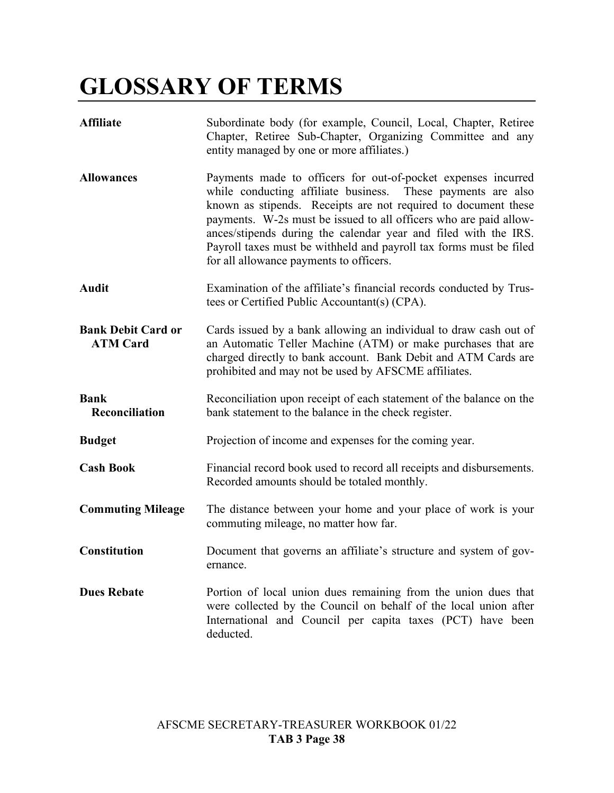# **GLOSSARY OF TERMS**

| <b>Affiliate</b>                             | Subordinate body (for example, Council, Local, Chapter, Retiree<br>Chapter, Retiree Sub-Chapter, Organizing Committee and any<br>entity managed by one or more affiliates.)                                                                                                                                                                                                                                                                              |
|----------------------------------------------|----------------------------------------------------------------------------------------------------------------------------------------------------------------------------------------------------------------------------------------------------------------------------------------------------------------------------------------------------------------------------------------------------------------------------------------------------------|
| <b>Allowances</b>                            | Payments made to officers for out-of-pocket expenses incurred<br>while conducting affiliate business. These payments are also<br>known as stipends. Receipts are not required to document these<br>payments. W-2s must be issued to all officers who are paid allow-<br>ances/stipends during the calendar year and filed with the IRS.<br>Payroll taxes must be withheld and payroll tax forms must be filed<br>for all allowance payments to officers. |
| <b>Audit</b>                                 | Examination of the affiliate's financial records conducted by Trus-<br>tees or Certified Public Accountant(s) (CPA).                                                                                                                                                                                                                                                                                                                                     |
| <b>Bank Debit Card or</b><br><b>ATM Card</b> | Cards issued by a bank allowing an individual to draw cash out of<br>an Automatic Teller Machine (ATM) or make purchases that are<br>charged directly to bank account. Bank Debit and ATM Cards are<br>prohibited and may not be used by AFSCME affiliates.                                                                                                                                                                                              |
| <b>Bank</b><br>Reconciliation                | Reconciliation upon receipt of each statement of the balance on the<br>bank statement to the balance in the check register.                                                                                                                                                                                                                                                                                                                              |
| <b>Budget</b>                                | Projection of income and expenses for the coming year.                                                                                                                                                                                                                                                                                                                                                                                                   |
| <b>Cash Book</b>                             | Financial record book used to record all receipts and disbursements.<br>Recorded amounts should be totaled monthly.                                                                                                                                                                                                                                                                                                                                      |
| <b>Commuting Mileage</b>                     | The distance between your home and your place of work is your<br>commuting mileage, no matter how far.                                                                                                                                                                                                                                                                                                                                                   |
| <b>Constitution</b>                          | Document that governs an affiliate's structure and system of gov-<br>ernance.                                                                                                                                                                                                                                                                                                                                                                            |
| <b>Dues Rebate</b>                           | Portion of local union dues remaining from the union dues that<br>were collected by the Council on behalf of the local union after<br>International and Council per capita taxes (PCT) have been<br>deducted.                                                                                                                                                                                                                                            |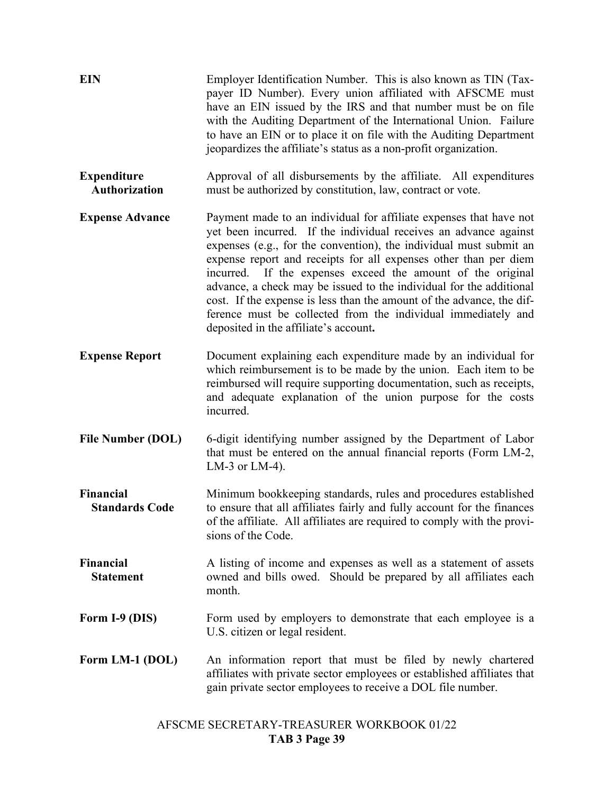| <b>EIN</b>                                 | Employer Identification Number. This is also known as TIN (Tax-<br>payer ID Number). Every union affiliated with AFSCME must<br>have an EIN issued by the IRS and that number must be on file<br>with the Auditing Department of the International Union. Failure<br>to have an EIN or to place it on file with the Auditing Department<br>jeopardizes the affiliate's status as a non-profit organization.                                                                                                                                                                                               |
|--------------------------------------------|-----------------------------------------------------------------------------------------------------------------------------------------------------------------------------------------------------------------------------------------------------------------------------------------------------------------------------------------------------------------------------------------------------------------------------------------------------------------------------------------------------------------------------------------------------------------------------------------------------------|
| <b>Expenditure</b><br><b>Authorization</b> | Approval of all disbursements by the affiliate. All expenditures<br>must be authorized by constitution, law, contract or vote.                                                                                                                                                                                                                                                                                                                                                                                                                                                                            |
| <b>Expense Advance</b>                     | Payment made to an individual for affiliate expenses that have not<br>yet been incurred. If the individual receives an advance against<br>expenses (e.g., for the convention), the individual must submit an<br>expense report and receipts for all expenses other than per diem<br>incurred. If the expenses exceed the amount of the original<br>advance, a check may be issued to the individual for the additional<br>cost. If the expense is less than the amount of the advance, the dif-<br>ference must be collected from the individual immediately and<br>deposited in the affiliate's account. |
| <b>Expense Report</b>                      | Document explaining each expenditure made by an individual for<br>which reimbursement is to be made by the union. Each item to be<br>reimbursed will require supporting documentation, such as receipts,<br>and adequate explanation of the union purpose for the costs<br>incurred.                                                                                                                                                                                                                                                                                                                      |
| <b>File Number (DOL)</b>                   | 6-digit identifying number assigned by the Department of Labor<br>that must be entered on the annual financial reports (Form LM-2,<br>LM-3 or LM-4).                                                                                                                                                                                                                                                                                                                                                                                                                                                      |
| <b>Financial</b><br><b>Standards Code</b>  | Minimum bookkeeping standards, rules and procedures established<br>to ensure that all affiliates fairly and fully account for the finances<br>of the affiliate. All affiliates are required to comply with the provi-<br>sions of the Code.                                                                                                                                                                                                                                                                                                                                                               |
| <b>Financial</b><br><b>Statement</b>       | A listing of income and expenses as well as a statement of assets<br>owned and bills owed. Should be prepared by all affiliates each<br>month.                                                                                                                                                                                                                                                                                                                                                                                                                                                            |
| Form I-9 (DIS)                             | Form used by employers to demonstrate that each employee is a<br>U.S. citizen or legal resident.                                                                                                                                                                                                                                                                                                                                                                                                                                                                                                          |
| Form LM-1 (DOL)                            | An information report that must be filed by newly chartered<br>affiliates with private sector employees or established affiliates that<br>gain private sector employees to receive a DOL file number.                                                                                                                                                                                                                                                                                                                                                                                                     |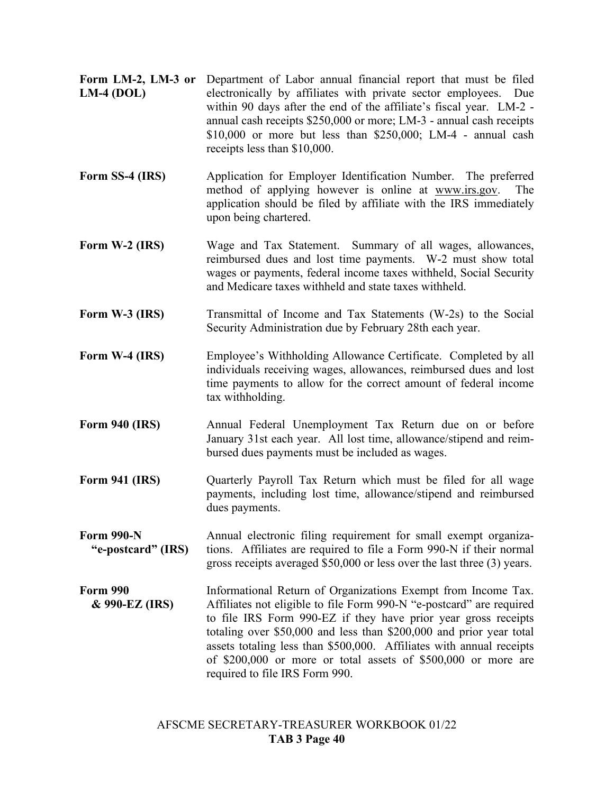- **Form LM-2, LM-3 or**  Department of Labor annual financial report that must be filed **LM-4 (DOL)** electronically by affiliates with private sector employees. Due within 90 days after the end of the affiliate's fiscal year. LM-2 annual cash receipts \$250,000 or more; LM-3 - annual cash receipts \$10,000 or more but less than \$250,000; LM-4 - annual cash receipts less than \$10,000.
- **Form SS-4 (IRS)** Application for Employer Identification Number. The preferred method of applying however is online at [www.irs.gov.](http://www.irs.gov/) The application should be filed by affiliate with the IRS immediately upon being chartered.
- **Form W-2 (IRS)** Wage and Tax Statement. Summary of all wages, allowances, reimbursed dues and lost time payments. W-2 must show total wages or payments, federal income taxes withheld, Social Security and Medicare taxes withheld and state taxes withheld.
- **Form W-3 (IRS)** Transmittal of Income and Tax Statements (W-2s) to the Social Security Administration due by February 28th each year.
- **Form W-4 (IRS)** Employee's Withholding Allowance Certificate. Completed by all individuals receiving wages, allowances, reimbursed dues and lost time payments to allow for the correct amount of federal income tax withholding.
- **Form 940 (IRS)** Annual Federal Unemployment Tax Return due on or before January 31st each year. All lost time, allowance/stipend and reimbursed dues payments must be included as wages.
- **Form 941 (IRS)** Quarterly Payroll Tax Return which must be filed for all wage payments, including lost time, allowance/stipend and reimbursed dues payments.
- **Form 990-N "e-postcard" (IRS)** Annual electronic filing requirement for small exempt organizations. Affiliates are required to file a Form 990-N if their normal gross receipts averaged \$50,000 or less over the last three (3) years.
- **Form 990 & 990-EZ (IRS)** Informational Return of Organizations Exempt from Income Tax. Affiliates not eligible to file Form 990-N "e-postcard" are required to file IRS Form 990-EZ if they have prior year gross receipts totaling over \$50,000 and less than \$200,000 and prior year total assets totaling less than \$500,000. Affiliates with annual receipts of \$200,000 or more or total assets of \$500,000 or more are required to file IRS Form 990.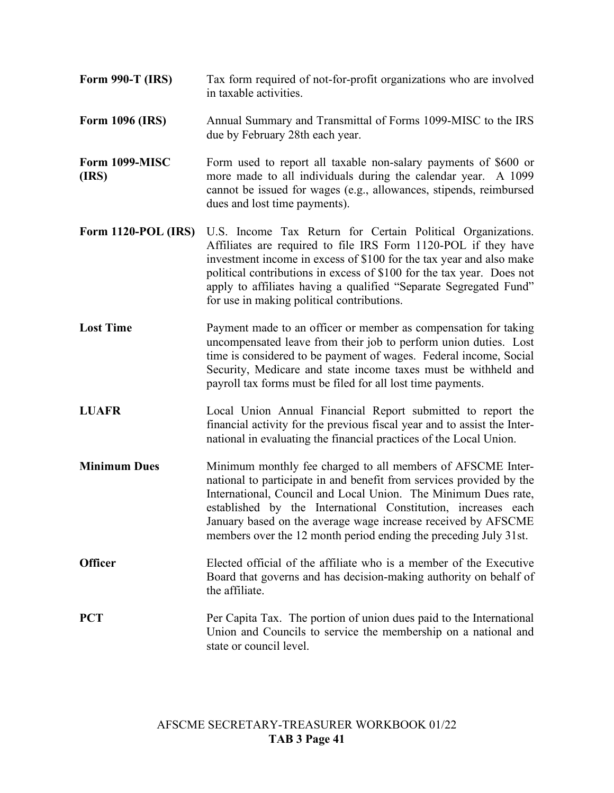- **Form 990-T (IRS)** Tax form required of not-for-profit organizations who are involved in taxable activities.
- **Form 1096 (IRS)** Annual Summary and Transmittal of Forms 1099-MISC to the IRS due by February 28th each year.
- **Form 1099-MISC (IRS)** Form used to report all taxable non-salary payments of \$600 or more made to all individuals during the calendar year. A 1099 cannot be issued for wages (e.g., allowances, stipends, reimbursed dues and lost time payments).
- **Form 1120-POL (IRS)** U.S. Income Tax Return for Certain Political Organizations. Affiliates are required to file IRS Form 1120-POL if they have investment income in excess of \$100 for the tax year and also make political contributions in excess of \$100 for the tax year. Does not apply to affiliates having a qualified "Separate Segregated Fund" for use in making political contributions.
- **Lost Time** Payment made to an officer or member as compensation for taking uncompensated leave from their job to perform union duties. Lost time is considered to be payment of wages. Federal income, Social Security, Medicare and state income taxes must be withheld and payroll tax forms must be filed for all lost time payments.
- **LUAFR** Local Union Annual Financial Report submitted to report the financial activity for the previous fiscal year and to assist the International in evaluating the financial practices of the Local Union.
- **Minimum Dues** Minimum monthly fee charged to all members of AFSCME International to participate in and benefit from services provided by the International, Council and Local Union. The Minimum Dues rate, established by the International Constitution, increases each January based on the average wage increase received by AFSCME members over the 12 month period ending the preceding July 31st.
- **Officer** Elected official of the affiliate who is a member of the Executive Board that governs and has decision-making authority on behalf of the affiliate.
- **PCT** Per Capita Tax. The portion of union dues paid to the International Union and Councils to service the membership on a national and state or council level.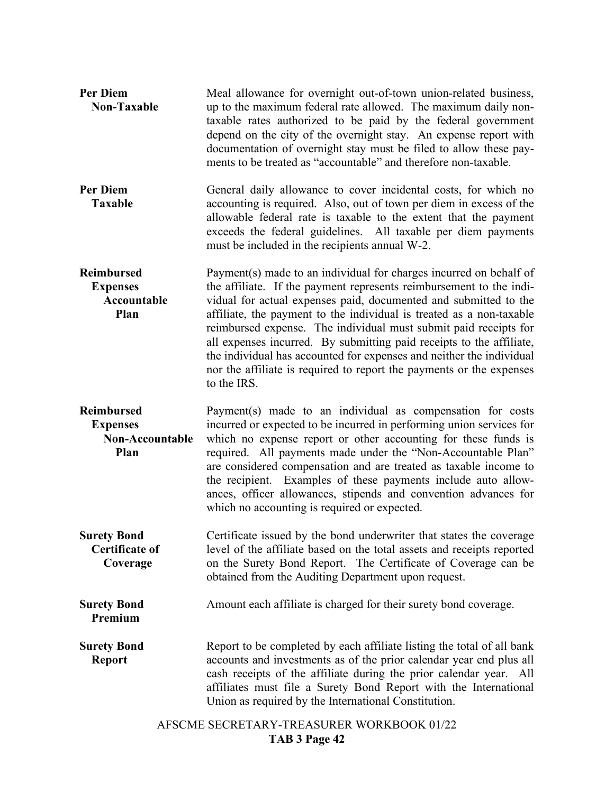| <b>Per Diem</b><br><b>Non-Taxable</b>                                  | Meal allowance for overnight out-of-town union-related business,<br>up to the maximum federal rate allowed. The maximum daily non-<br>taxable rates authorized to be paid by the federal government<br>depend on the city of the overnight stay. An expense report with<br>documentation of overnight stay must be filed to allow these pay-<br>ments to be treated as "accountable" and therefore non-taxable.                                                                                                                                                                                  |
|------------------------------------------------------------------------|--------------------------------------------------------------------------------------------------------------------------------------------------------------------------------------------------------------------------------------------------------------------------------------------------------------------------------------------------------------------------------------------------------------------------------------------------------------------------------------------------------------------------------------------------------------------------------------------------|
| <b>Per Diem</b><br><b>Taxable</b>                                      | General daily allowance to cover incidental costs, for which no<br>accounting is required. Also, out of town per diem in excess of the<br>allowable federal rate is taxable to the extent that the payment<br>exceeds the federal guidelines. All taxable per diem payments<br>must be included in the recipients annual W-2.                                                                                                                                                                                                                                                                    |
| <b>Reimbursed</b><br><b>Expenses</b><br><b>Accountable</b><br>Plan     | Payment(s) made to an individual for charges incurred on behalf of<br>the affiliate. If the payment represents reimbursement to the indi-<br>vidual for actual expenses paid, documented and submitted to the<br>affiliate, the payment to the individual is treated as a non-taxable<br>reimbursed expense. The individual must submit paid receipts for<br>all expenses incurred. By submitting paid receipts to the affiliate,<br>the individual has accounted for expenses and neither the individual<br>nor the affiliate is required to report the payments or the expenses<br>to the IRS. |
| <b>Reimbursed</b><br><b>Expenses</b><br><b>Non-Accountable</b><br>Plan | Payment(s) made to an individual as compensation for costs<br>incurred or expected to be incurred in performing union services for<br>which no expense report or other accounting for these funds is<br>required. All payments made under the "Non-Accountable Plan"<br>are considered compensation and are treated as taxable income to<br>the recipient. Examples of these payments include auto allow-<br>ances, officer allowances, stipends and convention advances for<br>which no accounting is required or expected.                                                                     |
| <b>Surety Bond</b><br><b>Certificate of</b><br>Coverage                | Certificate issued by the bond underwriter that states the coverage<br>level of the affiliate based on the total assets and receipts reported<br>on the Surety Bond Report. The Certificate of Coverage can be<br>obtained from the Auditing Department upon request.                                                                                                                                                                                                                                                                                                                            |
| <b>Surety Bond</b><br>Premium                                          | Amount each affiliate is charged for their surety bond coverage.                                                                                                                                                                                                                                                                                                                                                                                                                                                                                                                                 |
| <b>Surety Bond</b><br><b>Report</b>                                    | Report to be completed by each affiliate listing the total of all bank<br>accounts and investments as of the prior calendar year end plus all<br>cash receipts of the affiliate during the prior calendar year. All<br>affiliates must file a Surety Bond Report with the International<br>Union as required by the International Constitution.                                                                                                                                                                                                                                                  |
|                                                                        | AFSCME SECRETARY-TREASURER WORKBOOK 01/22<br>TAB 3 Page 42                                                                                                                                                                                                                                                                                                                                                                                                                                                                                                                                       |